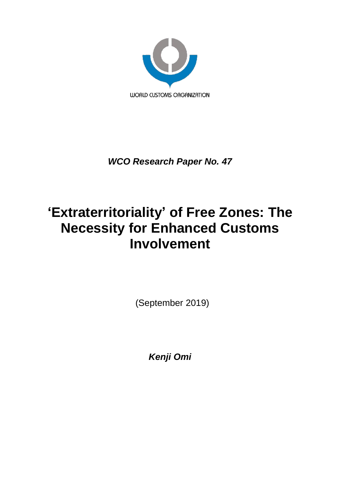

*WCO Research Paper No. 47*

# **'Extraterritoriality' of Free Zones: The Necessity for Enhanced Customs Involvement**

(September 2019)

*Kenji Omi*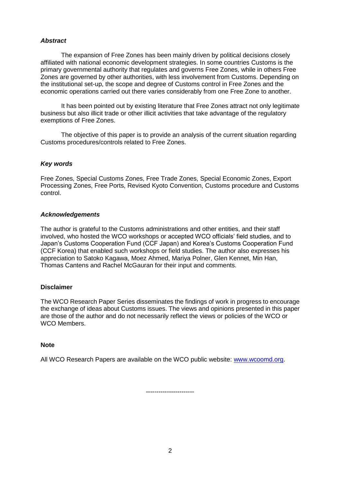# *Abstract*

The expansion of Free Zones has been mainly driven by political decisions closely affiliated with national economic development strategies. In some countries Customs is the primary governmental authority that regulates and governs Free Zones, while in others Free Zones are governed by other authorities, with less involvement from Customs. Depending on the institutional set-up, the scope and degree of Customs control in Free Zones and the economic operations carried out there varies considerably from one Free Zone to another.

It has been pointed out by existing literature that Free Zones attract not only legitimate business but also illicit trade or other illicit activities that take advantage of the regulatory exemptions of Free Zones.

The objective of this paper is to provide an analysis of the current situation regarding Customs procedures/controls related to Free Zones.

# *Key words*

Free Zones, Special Customs Zones, Free Trade Zones, Special Economic Zones, Export Processing Zones, Free Ports, Revised Kyoto Convention, Customs procedure and Customs control.

# *Acknowledgements*

The author is grateful to the Customs administrations and other entities, and their staff involved, who hosted the WCO workshops or accepted WCO officials' field studies, and to Japan's Customs Cooperation Fund (CCF Japan) and Korea's Customs Cooperation Fund (CCF Korea) that enabled such workshops or field studies. The author also expresses his appreciation to Satoko Kagawa, Moez Ahmed, Mariya Polner, Glen Kennet, Min Han, Thomas Cantens and Rachel McGauran for their input and comments.

# **Disclaimer**

The WCO Research Paper Series disseminates the findings of work in progress to encourage the exchange of ideas about Customs issues. The views and opinions presented in this paper are those of the author and do not necessarily reflect the views or policies of the WCO or WCO Members.

# **Note**

All WCO Research Papers are available on the WCO public website: [www.wcoomd.org.](http://www.wcoomd.org/)

-----------------------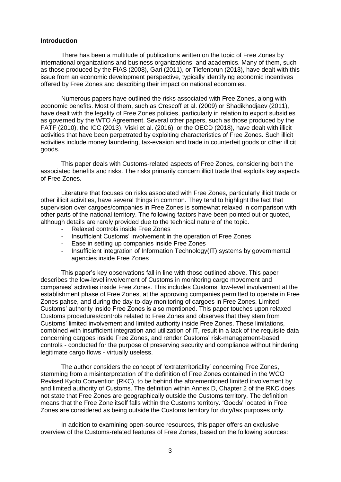#### **Introduction**

There has been a multitude of publications written on the topic of Free Zones by international organizations and business organizations, and academics. Many of them, such as those produced by the FIAS (2008), Gari (2011), or Tiefenbrun (2013), have dealt with this issue from an economic development perspective, typically identifying economic incentives offered by Free Zones and describing their impact on national economies.

Numerous papers have outlined the risks associated with Free Zones, along with economic benefits. Most of them, such as Crescoff et al. (2009) or Shadikhodjaev (2011), have dealt with the legality of Free Zones policies, particularly in relation to export subsidies as governed by the WTO Agreement. Several other papers, such as those produced by the FATF (2010), the ICC (2013), Viski et al. (2016), or the OECD (2018), have dealt with illicit activities that have been perpetrated by exploiting characteristics of Free Zones. Such illicit activities include money laundering, tax-evasion and trade in counterfeit goods or other illicit goods.

This paper deals with Customs-related aspects of Free Zones, considering both the associated benefits and risks. The risks primarily concern illicit trade that exploits key aspects of Free Zones.

Literature that focuses on risks associated with Free Zones, particularly illicit trade or other illicit activities, have several things in common. They tend to highlight the fact that supervision over cargoes/companies in Free Zones is somewhat relaxed in comparison with other parts of the national territory. The following factors have been pointed out or quoted, although details are rarely provided due to the technical nature of the topic.

- Relaxed controls inside Free Zones
- Insufficient Customs' involvement in the operation of Free Zones
- Ease in setting up companies inside Free Zones
- Insufficient integration of Information Technology(IT) systems by governmental agencies inside Free Zones

This paper's key observations fall in line with those outlined above. This paper describes the low-level involvement of Customs in monitoring cargo movement and companies' activities inside Free Zones. This includes Customs' low-level involvement at the establishment phase of Free Zones, at the approving companies permitted to operate in Free Zones pahse, and during the day-to-day monitoring of cargoes in Free Zones. Limited Customs' authority inside Free Zones is also mentioned. This paper touches upon relaxed Customs procedures/controls related to Free Zones and observes that they stem from Customs' limited involvement and limited authority inside Free Zones. These limitations, combined with insufficient integration and utilization of IT, result in a lack of the requisite data concerning cargoes inside Free Zones, and render Customs' risk-management-based controls - conducted for the purpose of preserving security and compliance without hindering legitimate cargo flows - virtually useless.

The author considers the concept of 'extraterritoriality' concerning Free Zones, stemming from a misinterpretation of the definition of Free Zones contained in the WCO Revised Kyoto Convention (RKC), to be behind the aforementioned limited involvement by and limited authority of Customs. The definition within Annex D, Chapter 2 of the RKC does not state that Free Zones are geographically outside the Customs territory. The definition means that the Free Zone itself falls within the Customs territory. 'Goods' located in Free Zones are considered as being outside the Customs territory for duty/tax purposes only.

In addition to examining open-source resources, this paper offers an exclusive overview of the Customs-related features of Free Zones, based on the following sources: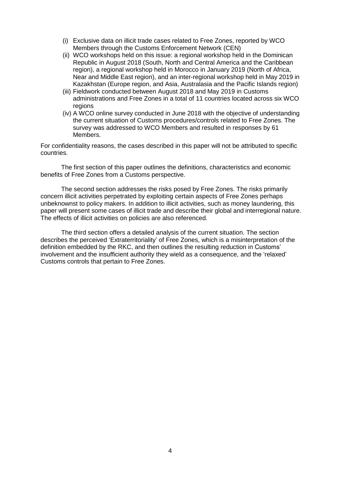- (i) Exclusive data on illicit trade cases related to Free Zones, reported by WCO Members through the Customs Enforcement Network (CEN)
- (ii) WCO workshops held on this issue: a regional workshop held in the Dominican Republic in August 2018 (South, North and Central America and the Caribbean region), a regional workshop held in Morocco in January 2019 (North of Africa, Near and Middle East region), and an inter-regional workshop held in May 2019 in Kazakhstan (Europe region, and Asia, Australasia and the Pacific Islands region)
- (iii) Fieldwork conducted between August 2018 and May 2019 in Customs administrations and Free Zones in a total of 11 countries located across six WCO regions
- (iv) A WCO online survey conducted in June 2018 with the objective of understanding the current situation of Customs procedures/controls related to Free Zones. The survey was addressed to WCO Members and resulted in responses by 61 Members.

For confidentiality reasons, the cases described in this paper will not be attributed to specific countries.

The first section of this paper outlines the definitions, characteristics and economic benefits of Free Zones from a Customs perspective.

The second section addresses the risks posed by Free Zones. The risks primarily concern illicit activities perpetrated by exploiting certain aspects of Free Zones perhaps unbeknownst to policy makers. In addition to illicit activities, such as money laundering, this paper will present some cases of illicit trade and describe their global and interregional nature. The effects of illicit activities on policies are also referenced.

The third section offers a detailed analysis of the current situation. The section describes the perceived 'Extraterritoriality' of Free Zones, which is a misinterpretation of the definition embedded by the RKC, and then outlines the resulting reduction in Customs' involvement and the insufficient authority they wield as a consequence, and the 'relaxed' Customs controls that pertain to Free Zones.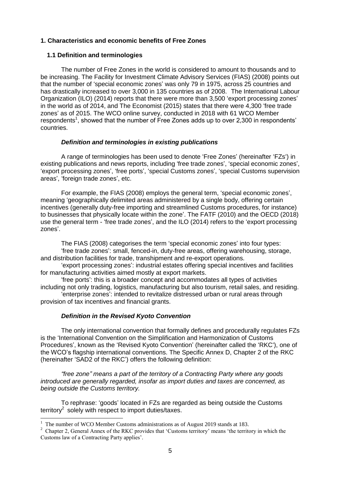## **1. Characteristics and economic benefits of Free Zones**

#### **1.1 Definition and terminologies**

The number of Free Zones in the world is considered to amount to thousands and to be increasing. The Facility for Investment Climate Advisory Services (FIAS) (2008) points out that the number of 'special economic zones' was only 79 in 1975, across 25 countries and has drastically increased to over 3,000 in 135 countries as of 2008. The International Labour Organization (ILO) (2014) reports that there were more than 3,500 'export processing zones' in the world as of 2014, and The Economist (2015) states that there were 4,300 'free trade zones' as of 2015. The WCO online survey, conducted in 2018 with 61 WCO Member respondents<sup>1</sup>, showed that the number of Free Zones adds up to over 2,300 in respondents' countries.

#### *Definition and terminologies in existing publications*

A range of terminologies has been used to denote 'Free Zones' (hereinafter 'FZs') in existing publications and news reports, including 'free trade zones', 'special economic zones', 'export processing zones', 'free ports', 'special Customs zones', 'special Customs supervision areas', 'foreign trade zones', etc.

For example, the FIAS (2008) employs the general term, 'special economic zones', meaning 'geographically delimited areas administered by a single body, offering certain incentives (generally duty-free importing and streamlined Customs procedures, for instance) to businesses that physically locate within the zone'. The FATF (2010) and the OECD (2018) use the general term - 'free trade zones', and the ILO (2014) refers to the 'export processing zones'.

The FIAS (2008) categorises the term 'special economic zones' into four types: 'free trade zones': small, fenced-in, duty-free areas, offering warehousing, storage, and distribution facilities for trade, transhipment and re-export operations.

'export processing zones': industrial estates offering special incentives and facilities for manufacturing activities aimed mostly at export markets.

'free ports': this is a broader concept and accommodates all types of activities including not only trading, logistics, manufacturing but also tourism, retail sales, and residing.

'enterprise zones': intended to revitalize distressed urban or rural areas through provision of tax incentives and financial grants.

# *Definition in the Revised Kyoto Convention*

The only international convention that formally defines and procedurally regulates FZs is the 'International Convention on the Simplification and Harmonization of Customs Procedures', known as the 'Revised Kyoto Convention' (hereinafter called the 'RKC'), one of the WCO's flagship international conventions. The Specific Annex D, Chapter 2 of the RKC (hereinafter 'SAD2 of the RKC') offers the following definition:

*―free zone‖ means a part of the territory of a Contracting Party where any goods introduced are generally regarded, insofar as import duties and taxes are concerned, as being outside the Customs territory.* 

To rephrase: 'goods' located in FZs are regarded as being outside the Customs territory<sup>2</sup> solely with respect to import duties/taxes.

 $\overline{a}$ 

 $1$  The number of WCO Member Customs administrations as of August 2019 stands at 183.

<sup>&</sup>lt;sup>2</sup> Chapter 2, General Annex of the RKC provides that 'Customs territory' means 'the territory in which the Customs law of a Contracting Party applies'.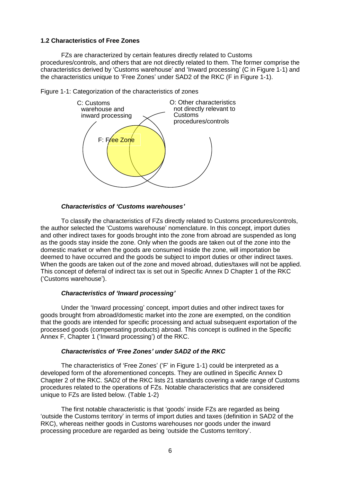# **1.2 Characteristics of Free Zones**

FZs are characterized by certain features directly related to Customs procedures/controls, and others that are not directly related to them. The former comprise the characteristics derived by 'Customs warehouse' and 'Inward processing' (C in Figure 1-1) and the characteristics unique to 'Free Zones' under SAD2 of the RKC (F in Figure 1-1).



Figure 1-1: Categorization of the characteristics of zones

#### *Characteristics of 'Customs warehouses'*

To classify the characteristics of FZs directly related to Customs procedures/controls, the author selected the 'Customs warehouse' nomenclature. In this concept, import duties and other indirect taxes for goods brought into the zone from abroad are suspended as long as the goods stay inside the zone. Only when the goods are taken out of the zone into the domestic market or when the goods are consumed inside the zone, will importation be deemed to have occurred and the goods be subject to import duties or other indirect taxes. When the goods are taken out of the zone and moved abroad, duties/taxes will not be applied. This concept of deferral of indirect tax is set out in Specific Annex D Chapter 1 of the RKC ('Customs warehouse').

#### *Characteristics of 'Inward processing'*

Under the 'Inward processing' concept, import duties and other indirect taxes for goods brought from abroad/domestic market into the zone are exempted, on the condition that the goods are intended for specific processing and actual subsequent exportation of the processed goods (compensating products) abroad. This concept is outlined in the Specific Annex F, Chapter 1 ('Inward processing') of the RKC.

#### *Characteristics of 'Free Zones' under SAD2 of the RKC*

The characteristics of 'Free Zones' ('F' in Figure 1-1) could be interpreted as a developed form of the aforementioned concepts. They are outlined in Specific Annex D Chapter 2 of the RKC. SAD2 of the RKC lists 21 standards covering a wide range of Customs procedures related to the operations of FZs. Notable characteristics that are considered unique to FZs are listed below. (Table 1-2)

The first notable characteristic is that 'goods' inside FZs are regarded as being 'outside the Customs territory' in terms of import duties and taxes (definition in SAD2 of the RKC), whereas neither goods in Customs warehouses nor goods under the inward processing procedure are regarded as being 'outside the Customs territory'.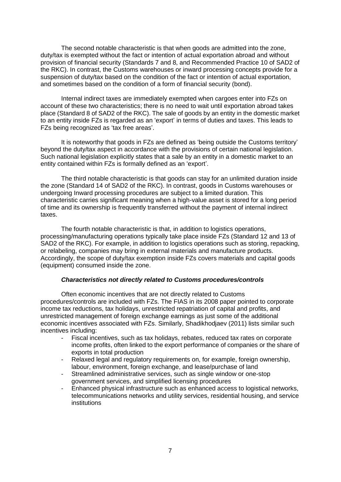The second notable characteristic is that when goods are admitted into the zone, duty/tax is exempted without the fact or intention of actual exportation abroad and without provision of financial security (Standards 7 and 8, and Recommended Practice 10 of SAD2 of the RKC). In contrast, the Customs warehouses or inward processing concepts provide for a suspension of duty/tax based on the condition of the fact or intention of actual exportation, and sometimes based on the condition of a form of financial security (bond).

Internal indirect taxes are immediately exempted when cargoes enter into FZs on account of these two characteristics; there is no need to wait until exportation abroad takes place (Standard 8 of SAD2 of the RKC). The sale of goods by an entity in the domestic market to an entity inside FZs is regarded as an 'export' in terms of duties and taxes. This leads to FZs being recognized as 'tax free areas'.

It is noteworthy that goods in FZs are defined as 'being outside the Customs territory' beyond the duty/tax aspect in accordance with the provisions of certain national legislation. Such national legislation explicitly states that a sale by an entity in a domestic market to an entity contained within FZs is formally defined as an 'export'.

The third notable characteristic is that goods can stay for an unlimited duration inside the zone (Standard 14 of SAD2 of the RKC). In contrast, goods in Customs warehouses or undergoing Inward processing procedures are subject to a limited duration. This characteristic carries significant meaning when a high-value asset is stored for a long period of time and its ownership is frequently transferred without the payment of internal indirect taxes.

The fourth notable characteristic is that, in addition to logistics operations, processing/manufacturing operations typically take place inside FZs (Standard 12 and 13 of SAD2 of the RKC). For example, in addition to logistics operations such as storing, repacking, or relabeling, companies may bring in external materials and manufacture products. Accordingly, the scope of duty/tax exemption inside FZs covers materials and capital goods (equipment) consumed inside the zone.

# *Characteristics not directly related to Customs procedures/controls*

Often economic incentives that are not directly related to Customs procedures/controls are included with FZs. The FIAS in its 2008 paper pointed to corporate income tax reductions, tax holidays, unrestricted repatriation of capital and profits, and unrestricted management of foreign exchange earnings as just some of the additional economic incentives associated with FZs. Similarly, Shadikhodjaev (2011) lists similar such incentives including:

- Fiscal incentives, such as tax holidays, rebates, reduced tax rates on corporate income profits, often linked to the export performance of companies or the share of exports in total production
- Relaxed legal and regulatory requirements on, for example, foreign ownership, labour, environment, foreign exchange, and lease/purchase of land
- Streamlined administrative services, such as single window or one-stop government services, and simplified licensing procedures
- Enhanced physical infrastructure such as enhanced access to logistical networks, telecommunications networks and utility services, residential housing, and service institutions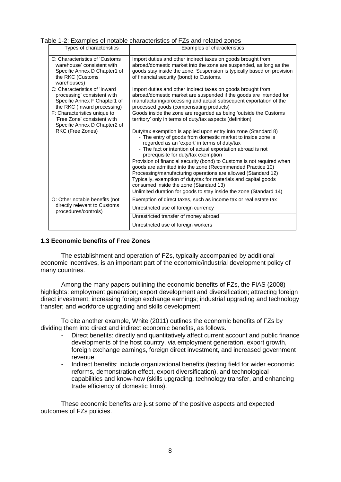Table 1-2: Examples of notable characteristics of FZs and related zones

| Types of characteristics                                                                                                        | Examples of characteristics                                                                                                                                                                                                                                                          |
|---------------------------------------------------------------------------------------------------------------------------------|--------------------------------------------------------------------------------------------------------------------------------------------------------------------------------------------------------------------------------------------------------------------------------------|
| C: Characteristics of 'Customs<br>warehouse' consistent with<br>Specific Annex D Chapter1 of<br>the RKC (Customs<br>warehouses) | Import duties and other indirect taxes on goods brought from<br>abroad/domestic market into the zone are suspended, as long as the<br>goods stay inside the zone. Suspension is typically based on provision<br>of financial security (bond) to Customs.                             |
| C: Characteristics of 'Inward<br>processing' consistent with<br>Specific Annex F Chapter1 of<br>the RKC (Inward processing)     | Import duties and other indirect taxes on goods brought from<br>abroad/domestic market are suspended if the goods are intended for<br>manufacturing/processing and actual subsequent exportation of the<br>processed goods (compensating products)                                   |
| F: Characteristics unique to<br>'Free Zone' consistent with<br>Specific Annex D Chapter2 of                                     | Goods inside the zone are regarded as being 'outside the Customs<br>territory' only in terms of duty/tax aspects (definition)                                                                                                                                                        |
| RKC (Free Zones)                                                                                                                | Duty/tax exemption is applied upon entry into zone (Standard 8)<br>- The entry of goods from domestic market to inside zone is<br>regarded as an 'export' in terms of duty/tax<br>- The fact or intention of actual exportation abroad is not<br>prerequisite for duty/tax exemption |
|                                                                                                                                 | Provision of financial security (bond) to Customs is not required when<br>goods are admitted into the zone (Recommended Practice 10)                                                                                                                                                 |
|                                                                                                                                 | Processing/manufacturing operations are allowed (Standard 12)<br>Typically, exemption of duty/tax for materials and capital goods<br>consumed inside the zone (Standard 13)                                                                                                          |
|                                                                                                                                 | Unlimited duration for goods to stay inside the zone (Standard 14)                                                                                                                                                                                                                   |
| O: Other notable benefits (not                                                                                                  | Exemption of direct taxes, such as income tax or real estate tax                                                                                                                                                                                                                     |
| directly relevant to Customs<br>procedures/controls)                                                                            | Unrestricted use of foreign currency                                                                                                                                                                                                                                                 |
|                                                                                                                                 | Unrestricted transfer of money abroad                                                                                                                                                                                                                                                |
|                                                                                                                                 | Unrestricted use of foreign workers                                                                                                                                                                                                                                                  |

#### **1.3 Economic benefits of Free Zones**

The establishment and operation of FZs, typically accompanied by additional economic incentives, is an important part of the economic/industrial development policy of many countries.

Among the many papers outlining the economic benefits of FZs, the FIAS (2008) highlights: employment generation; export development and diversification; attracting foreign direct investment; increasing foreign exchange earnings; industrial upgrading and technology transfer; and workforce upgrading and skills development.

To cite another example, White (2011) outlines the economic benefits of FZs by dividing them into direct and indirect economic benefits, as follows.

- Direct benefits: directly and quantitatively affect current account and public finance developments of the host country, via employment generation, export growth, foreign exchange earnings, foreign direct investment, and increased government revenue.
- Indirect benefits: include organizational benefits (testing field for wider economic reforms, demonstration effect, export diversification), and technological capabilities and know-how (skills upgrading, technology transfer, and enhancing trade efficiency of domestic firms).

These economic benefits are just some of the positive aspects and expected outcomes of FZs policies.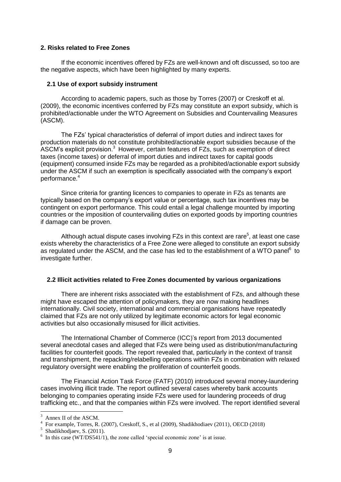#### **2. Risks related to Free Zones**

If the economic incentives offered by FZs are well-known and oft discussed, so too are the negative aspects, which have been highlighted by many experts.

#### **2.1 Use of export subsidy instrument**

According to academic papers, such as those by Torres (2007) or Creskoff et al. (2009), the economic incentives conferred by FZs may constitute an export subsidy, which is prohibited/actionable under the WTO Agreement on Subsidies and Countervailing Measures (ASCM).

The FZs' typical characteristics of deferral of import duties and indirect taxes for production materials do not constitute prohibited/actionable export subsidies because of the ASCM's explicit provision.<sup>3</sup> However, certain features of FZs, such as exemption of direct taxes (income taxes) or deferral of import duties and indirect taxes for capital goods (equipment) consumed inside FZs may be regarded as a prohibited/actionable export subsidy under the ASCM if such an exemption is specifically associated with the company's export performance.<sup>4</sup>

Since criteria for granting licences to companies to operate in FZs as tenants are typically based on the company's export value or percentage, such tax incentives may be contingent on export performance. This could entail a legal challenge mounted by importing countries or the imposition of countervailing duties on exported goods by importing countries if damage can be proven.

Although actual dispute cases involving FZs in this context are rare<sup>5</sup>, at least one case exists whereby the characteristics of a Free Zone were alleged to constitute an export subsidy as regulated under the ASCM, and the case has led to the establishment of a WTO panel $6$  to investigate further.

#### **2.2 Illicit activities related to Free Zones documented by various organizations**

There are inherent risks associated with the establishment of FZs, and although these might have escaped the attention of policymakers, they are now making headlines internationally. Civil society, international and commercial organisations have repeatedly claimed that FZs are not only utilized by legitimate economic actors for legal economic activities but also occasionally misused for illicit activities.

The International Chamber of Commerce (ICC)'s report from 2013 documented several anecdotal cases and alleged that FZs were being used as distribution/manufacturing facilities for counterfeit goods. The report revealed that, particularly in the context of transit and transhipment, the repacking/relabelling operations within FZs in combination with relaxed regulatory oversight were enabling the proliferation of counterfeit goods.

The Financial Action Task Force (FATF) (2010) introduced several money-laundering cases involving illicit trade. The report outlined several cases whereby bank accounts belonging to companies operating inside FZs were used for laundering proceeds of drug trafficking etc., and that the companies within FZs were involved. The report identified several

Annex II of the ASCM.

<sup>&</sup>lt;sup>4</sup> For example, Torres, R. (2007), Creskoff, S., et al (2009), Shadikhodiaev (2011), OECD (2018)

Shadikhodjaev, S. (2011).

<sup>6</sup> In this case (WT/DS541/1), the zone called 'special economic zone' is at issue.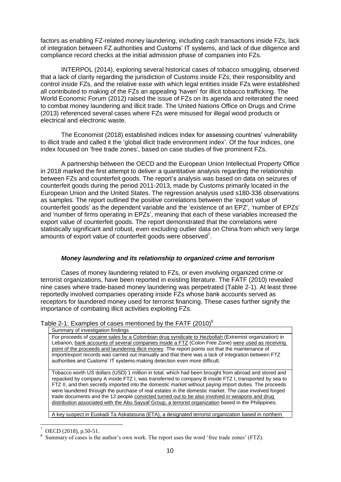factors as enabling FZ-related money laundering, including cash transactions inside FZs, lack of integration between FZ authorities and Customs' IT systems, and lack of due diligence and compliance record checks at the initial admission phase of companies into FZs.

INTERPOL (2014), exploring several historical cases of tobacco smuggling, observed that a lack of clarity regarding the jurisdiction of Customs inside FZs, their responsibility and control inside FZs, and the relative ease with which legal entities inside FZs were established all contributed to making of the FZs an appealing 'haven' for illicit tobacco trafficking. The World Economic Forum (2012) raised the issue of FZs on its agenda and reiterated the need to combat money laundering and illicit trade. The United Nations Office on Drugs and Crime (2013) referenced several cases where FZs were misused for illegal wood products or electrical and electronic waste.

The Economist (2018) established indices index for assessing countries' vulnerability to illicit trade and called it the 'global illicit trade environment index'. Of the four indices, one index focused on 'free trade zones', based on case studies of five prominent FZs.

A partnership between the OECD and the European Union Intellectual Property Office in 2018 marked the first attempt to deliver a quantitative analysis regarding the relationship between FZs and counterfeit goods. The report's analysis was based on data on seizures of counterfeit goods during the period 2011-2013, made by Customs primarily located in the European Union and the United States. The regression analysis used s180-336 observations as samples. The report outlined the positive correlations between the 'export value of counterfeit goods' as the dependent variable and the 'existence of an EPZ', 'number of EPZs' and 'number of firms operating in EPZs', meaning that each of these variables increased the export value of counterfeit goods. The report demonstrated that the correlations were statistically significant and robust, even excluding outlier data on China from which very large amounts of export value of counterfeit goods were observed<sup>7</sup>.

# *Money laundering and its relationship to organized crime and terrorism*

Cases of money laundering related to FZs, or even involving organized crime or terrorist organizations, have been reported in existing literature. The FATF (2010) revealed nine cases where trade-based money laundering was perpetrated (Table 2-1). At least three reportedly involved companies operating inside FZs whose bank accounts served as receptors for laundered money used for terrorist financing. These cases further signify the importance of combating illicit activities exploiting FZs.

#### Table 2-1: Examples of cases mentioned by the FATF  $(2010)^8$

Summary of investigation findings

For proceeds of cocaine sales by a Colombian drug syndicate to Hezbollah (Extremist organization) in Lebanon, bank accounts of several companies inside a FTZ (Colon Free Zone) were used as receiving point of the proceeds and laundering illicit money. The report points out that the maintenance of import/export records was carried out manually and that there was a lack of integration between FTZ authorities and Customs' IT systems-making detection even more difficult.

Tobacco worth US dollars (USD) 1 million in total, which had been brought from abroad and stored and repacked by company A inside FTZ I, was transferred to company B inside FTZ I, transported by sea to FTZ II, and then secretly imported into the domestic market without paying import duties. The proceeds were laundered through the purchase of real estates in the domestic market. The case involved forged trade documents and the 12 people convicted turned out to be also involved in weapons and drug distribution associated with the Abu Sayyaf Group, a terrorist organization based in the Philippines.

A key suspect in Euskadi Ta Askatasuna (ETA), a designated terrorist organization based in northern

 $\overline{a}$ 

OECD (2018), p.50-51.

<sup>8</sup> Summary of cases is the author's own work. The report uses the word 'free trade zones' (FTZ).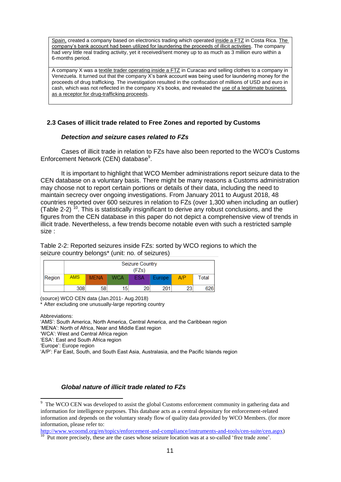Spain, created a company based on electronics trading which operated inside a FTZ in Costa Rica. The company's bank account had been utilized for laundering the proceeds of illicit activities. The company had very little real trading activity, yet it received/sent money up to as much as 3 million euro within a 6-months period.

A company X was a textile trader operating inside a FTZ in Curacao and selling clothes to a company in Venezuela. It turned out that the company X's bank account was being used for laundering money for the proceeds of drug trafficking. The investigation resulted in the confiscation of millions of USD and euro in cash, which was not reflected in the company X's books, and revealed the use of a legitimate business as a receptor for drug-trafficking proceeds.

# **2.3 Cases of illicit trade related to Free Zones and reported by Customs**

#### *Detection and seizure cases related to FZs*

Cases of illicit trade in relation to FZs have also been reported to the WCO's Customs Enforcement Network (CEN) database<sup>9</sup>.

It is important to highlight that WCO Member administrations report seizure data to the CEN database on a voluntary basis. There might be many reasons a Customs administration may choose not to report certain portions or details of their data, including the need to maintain secrecy over ongoing investigations. From January 2011 to August 2018, 48 countries reported over 600 seizures in relation to FZs (over 1,300 when including an outlier) (Table 2-2)<sup>10</sup>. This is statistically insignificant to derive any robust conclusions, and the figures from the CEN database in this paper do not depict a comprehensive view of trends in illicit trade. Nevertheless, a few trends become notable even with such a restricted sample size :

Table 2-2: Reported seizures inside FZs: sorted by WCO regions to which the seizure country belongs\* (unit: no. of seizures)

|            | <b>Seizure Country</b> |        |  |  |        |  |  |
|------------|------------------------|--------|--|--|--------|--|--|
|            |                        | $-181$ |  |  |        |  |  |
| kegion<br> |                        | MENΔ   |  |  | Europe |  |  |
|            |                        |        |  |  |        |  |  |

(source) WCO CEN data (Jan.2011- Aug.2018)

\* After excluding one unusually-large reporting country

Abbreviations:

'AMS': South America, North America, Central America, and the Caribbean region

'MENA': North of Africa, Near and Middle East region

'WCA': West and Central Africa region

'ESA': East and South Africa region

'Europe': Europe region

'A/P': Far East, South, and South East Asia, Australasia, and the Pacific Islands region

# *Global nature of illicit trade related to FZs*

<sup>&</sup>lt;sup>9</sup> The WCO CEN was developed to assist the global Customs enforcement community in gathering data and information for intelligence purposes. This database acts as a central depositary for enforcement-related information and depends on the voluntary steady flow of quality data provided by WCO Members. (for more information, please refer to:

[http://www.wcoomd.org/en/topics/enforcement-and-compliance/instruments-and-tools/cen-suite/cen.aspx\)](http://www.wcoomd.org/en/topics/enforcement-and-compliance/instruments-and-tools/cen-suite/cen.aspx)

<sup>&</sup>lt;sup>10</sup> Put more precisely, these are the cases whose seizure location was at a so-called 'free trade zone'.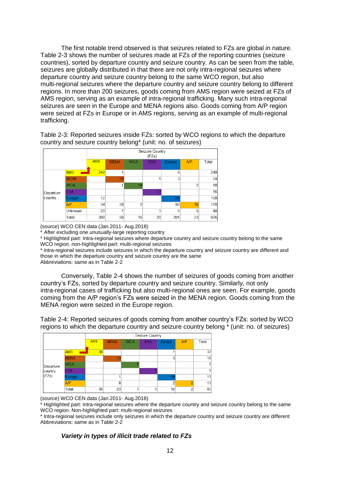The first notable trend observed is that seizures related to FZs are global in nature. Table 2-3 shows the number of seizures made at FZs of the reporting countries (seizure countries), sorted by departure country and seizure country. As can be seen from the table, seizures are globally distributed in that there are not only intra-regional seizures where departure country and seizure country belong to the same WCO region, but also multi-regional seizures where the departure country and seizure country belong to different regions. In more than 200 seizures, goods coming from AMS region were seized at FZs of AMS region, serving as an example of intra-regional trafficking. Many such intra-regional seizures are seen in the Europe and MENA regions also. Goods coming from A/P region were seized at FZs in Europe or in AMS regions, serving as an example of multi-regional trafficking.

Table 2-3: Reported seizures inside FZs: sorted by WCO regions to which the departure country and seizure country belong\* (unit: no. of seizures)



(source) WCO CEN data (Jan.2011- Aug.2018)

After excluding one unusually-large reporting country

\* Highlighted part: Intra-regional seizures where departure country and seizure country belong to the same WCO region. non-highlighted part: multi-regional seizures

\* intra-regional seizures include seizures in which the departure country and seizure country are different and those in which the departure country and seizure country are the same

Abbreviations: same as in Table 2-2

Conversely, Table 2-4 shows the number of seizures of goods coming from another country's FZs, sorted by departure country and seizure country. Similarly, not only intra-regional cases of trafficking but also multi-regional ones are seen. For example, goods coming from the A/P region's FZs were seized in the MENA region. Goods coming from the MENA region were seized in the Europe region.



Table 2-4: Reported seizures of goods coming from another country's FZs: sorted by WCO regions to which the departure country and seizure country belong \* (unit: no. of seizures)

(source) WCO CEN data (Jan.2011- Aug.2018)

\* Highlighted part: intra-regional seizures where the departure country and seizure country belong to the same WCO region. Non-highlighted part: multi-regional seizures

\* Intra-regional seizures include only seizures in which the departure country and seizure country are different Abbreviations: same as in Table 2-2

#### *Variety in types of illicit trade related to FZs*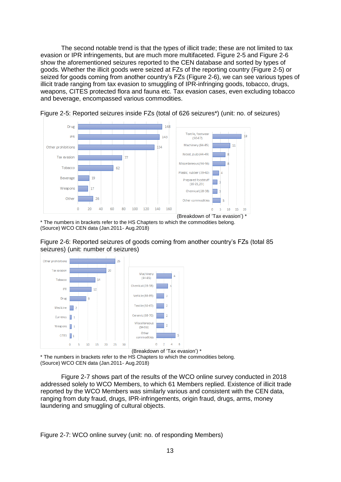The second notable trend is that the types of illicit trade; these are not limited to tax evasion or IPR infringements, but are much more multifaceted. Figure 2-5 and Figure 2-6 show the aforementioned seizures reported to the CEN database and sorted by types of goods. Whether the illicit goods were seized at FZs of the reporting country (Figure 2-5) or seized for goods coming from another country's FZs (Figure 2-6), we can see various types of illicit trade ranging from tax evasion to smuggling of IPR-infringing goods, tobacco, drugs, weapons, CITES protected flora and fauna etc. Tax evasion cases, even excluding tobacco and beverage, encompassed various commodities.



Figure 2-5: Reported seizures inside FZs (total of 626 seizures\*) (unit: no. of seizures)

\* The numbers in brackets refer to the HS Chapters to which the commodities belong. (Source) WCO CEN data (Jan.2011- Aug.2018)

Figure 2-6: Reported seizures of goods coming from another country's FZs (total 85 seizures) (unit: number of seizures)



\* The numbers in brackets refer to the HS Chapters to which the commodities belong. (Source) WCO CEN data (Jan.2011- Aug.2018)

Figure 2-7 shows part of the results of the WCO online survey conducted in 2018 addressed solely to WCO Members, to which 61 Members replied. Existence of illicit trade reported by the WCO Members was similarly various and consistent with the CEN data, ranging from duty fraud, drugs, IPR-infringements, origin fraud, drugs, arms, money laundering and smuggling of cultural objects.

Figure 2-7: WCO online survey (unit: no. of responding Members)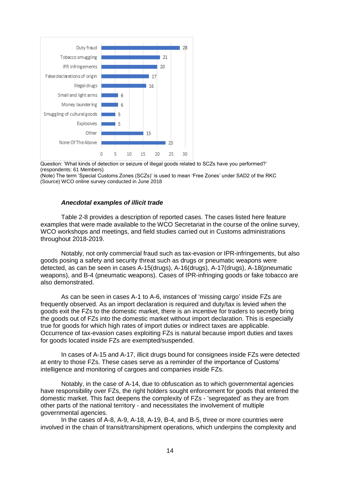

Question: 'What kinds of detection or seizure of illegal goods related to SCZs have you performed?' (respondents: 61 Members)

(Note) The term 'Special Customs Zones (SCZs)' is used to mean 'Free Zones' under SAD2 of the RKC (Source) WCO online survey conducted in June 2018

#### *Anecdotal examples of illicit trade*

Table 2-8 provides a description of reported cases. The cases listed here feature examples that were made available to the WCO Secretariat in the course of the online survey, WCO workshops and meetings, and field studies carried out in Customs administrations throughout 2018-2019.

Notably, not only commercial fraud such as tax-evasion or IPR-infringements, but also goods posing a safety and security threat such as drugs or pneumatic weapons were detected, as can be seen in cases A-15(drugs), A-16(drugs), A-17(drugs), A-18(pneumatic weapons), and B-4 (pneumatic weapons). Cases of IPR-infringing goods or fake tobacco are also demonstrated.

As can be seen in cases A-1 to A-6, instances of 'missing cargo' inside FZs are frequently observed. As an import declaration is required and duty/tax is levied when the goods exit the FZs to the domestic market, there is an incentive for traders to secretly bring the goods out of FZs into the domestic market without import declaration. This is especially true for goods for which high rates of import duties or indirect taxes are applicable. Occurrence of tax-evasion cases exploiting FZs is natural because import duties and taxes for goods located inside FZs are exempted/suspended.

In cases of A-15 and A-17, illicit drugs bound for consignees inside FZs were detected at entry to those FZs. These cases serve as a reminder of the importance of Customs' intelligence and monitoring of cargoes and companies inside FZs.

Notably, in the case of A-14, due to obfuscation as to which governmental agencies have responsibility over FZs, the right holders sought enforcement for goods that entered the domestic market. This fact deepens the complexity of FZs - 'segregated' as they are from other parts of the national territory - and necessitates the involvement of multiple governmental agencies.

In the cases of A-8, A-9, A-18, A-19, B-4, and B-5, three or more countries were involved in the chain of transit/transhipment operations, which underpins the complexity and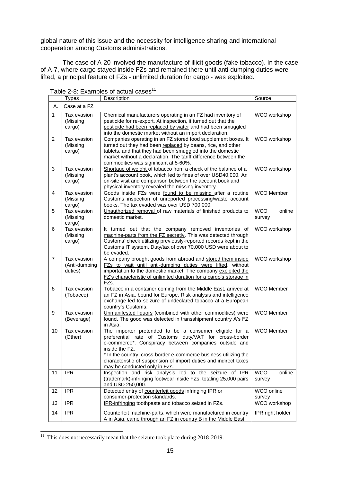global nature of this issue and the necessity for intelligence sharing and international cooperation among Customs administrations.

 The case of A-20 involved the manufacture of illicit goods (fake tobacco). In the case of A-7, where cargo stayed inside FZs and remained there until anti-dumping duties were lifted, a principal feature of FZs - unlimited duration for cargo - was exploited.

|                | Types                                   | Description                                                                                                                                                                                                                                                                                                                                                        | Source                         |
|----------------|-----------------------------------------|--------------------------------------------------------------------------------------------------------------------------------------------------------------------------------------------------------------------------------------------------------------------------------------------------------------------------------------------------------------------|--------------------------------|
| А.             | Case at a FZ                            |                                                                                                                                                                                                                                                                                                                                                                    |                                |
| $\mathbf{1}$   | Tax evasion<br>(Missing<br>cargo)       | Chemical manufacturers operating in an FZ had inventory of<br>pesticide for re-export. At inspection, it turned out that the<br>pesticide had been replaced by water and had been smuggled<br>into the domestic market without an import declaration.                                                                                                              | WCO workshop                   |
| $\overline{c}$ | Tax evasion<br>(Missing<br>cargo)       | Companies operating in an FZ stored food supplement boxes. It<br>turned out they had been replaced by beans, rice, and other<br>tablets, and that they had been smuggled into the domestic<br>market without a declaration. The tariff difference between the<br>commodities was significant at 5-60%.                                                             | WCO workshop                   |
| 3              | Tax evasion<br>(Missing<br>cargo)       | Shortage of weight of tobacco from a check of the balance of a<br>plant's account book, which led to fines of over USD40,000. An<br>on-site visit and comparison between the account book and<br>physical inventory revealed the missing inventory.                                                                                                                | WCO workshop                   |
| 4              | Tax evasion<br>(Missing<br>cargo)       | Goods inside FZs were found to be missing after a routine<br>Customs inspection of unreported processing/waste account<br>books. The tax evaded was over USD 700,000.                                                                                                                                                                                              | <b>WCO Member</b>              |
| 5              | Tax evasion<br>(Missing<br>cargo)       | Unauthorized removal of raw materials of finished products to<br>domestic market.                                                                                                                                                                                                                                                                                  | <b>WCO</b><br>online<br>survey |
| 6              | Tax evasion<br>(Missing<br>cargo)       | It turned out that the company removed inventories of<br>machine-parts from the FZ secretly. This was detected through<br>Customs' check utilizing previously-reported records kept in the<br>Customs IT system. Duty/tax of over 70,000 USD were about to<br>be evaded.                                                                                           | WCO workshop                   |
| $\overline{7}$ | Tax evasion<br>(Anti-dumping<br>duties) | A company brought goods from abroad and stored them inside<br>FZs to wait until anti-dumping duties were lifted, without<br>importation to the domestic market. The company exploited the<br>FZ's characteristic of unlimited duration for a cargo's storage in<br>FZs.                                                                                            | WCO workshop                   |
| 8              | Tax evasion<br>(Tobacco)                | Tobacco in a container coming from the Middle East, arrived at<br>an FZ in Asia, bound for Europe. Risk analysis and intelligence<br>exchange led to seizure of undeclared tobacco at a European<br>country's Customs.                                                                                                                                             | <b>WCO Member</b>              |
| 9              | Tax evasion<br>(Beverage)               | Unmanifested liquors (combined with other commodities) were<br>found. The good was detected in transshipment country A's FZ<br>in Asia.                                                                                                                                                                                                                            | <b>WCO Member</b>              |
| 10             | Tax evasion<br>(Other)                  | The importer pretended to be a consumer eligible for a<br>preferential rate of Customs duty/VAT for cross-border<br>e-commerce*. Conspiracy between companies outside and<br>inside the FZ.<br>In the country, cross-border e-commerce business utilizing the<br>characteristic of suspension of import duties and indirect taxes<br>may be conducted only in FZs. | <b>WCO Member</b>              |
| 11             | <b>IPR</b>                              | Inspection and risk analysis led to the seizure of IPR<br>(trademark)-infringing footwear inside FZs, totaling 25,000 pairs<br>and USD 250,000.                                                                                                                                                                                                                    | <b>WCO</b><br>online<br>survey |
| 12             | <b>IPR</b>                              | Detected entry of counterfeit goods infringing IPR or<br>consumer-protection standards.                                                                                                                                                                                                                                                                            | WCO online<br>survey           |
| 13             | <b>IPR</b>                              | IPR-infringing toothpaste and tobacco seized in FZs.                                                                                                                                                                                                                                                                                                               | WCO workshop                   |
| 14             | <b>IPR</b>                              | Counterfeit machine-parts, which were manufactured in country<br>A in Asia, came through an FZ in country B in the Middle East                                                                                                                                                                                                                                     | IPR right holder               |

Table 2-8: Examples of actual cases<sup>11</sup>

<sup>&</sup>lt;sup>11</sup> This does not necessarily mean that the seizure took place during 2018-2019.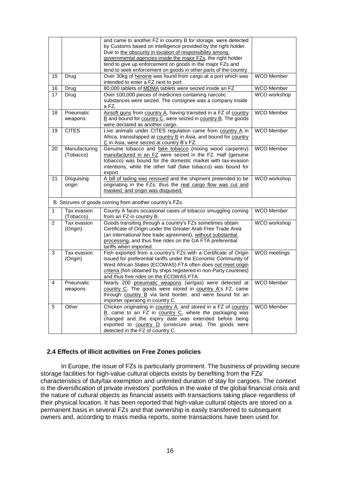|                |               | and came to another FZ in country B for storage, were detected<br>by Customs based on intelligence provided by the right holder.              |                     |
|----------------|---------------|-----------------------------------------------------------------------------------------------------------------------------------------------|---------------------|
|                |               | Due to the obscurity in location of responsibility among                                                                                      |                     |
|                |               | governmental agencies inside the major FZs, the right holder                                                                                  |                     |
|                |               | tend to give up enforcement on goods in the major FZs and                                                                                     |                     |
|                |               | tend to seek enforcement on goods in other parts of the country.                                                                              |                     |
| 15             | Drug          | Over 30kg of heroine was found from cargo at a port which was<br>intended to enter a FZ next to port                                          | <b>WCO Member</b>   |
| 16             | Drug          | 80,000 tablets of MDMA tablets were seized inside an FZ                                                                                       | WCO Member          |
| 17             | Drug          | Over 100,000 pieces of medicines containing narcotic                                                                                          | <b>WCO</b> workshop |
|                |               | substances were seized. The consignee was a company inside<br>a FZ.                                                                           |                     |
| 18             | Pneumatic     | Airsoft guns from country A, having transited in a FZ of country                                                                              | <b>WCO Member</b>   |
|                | weapons       | B and bound for country C, were seized in country B, The goods<br>were declared as another cargo.                                             |                     |
| 19             | <b>CITES</b>  | Live animals under CITES regulation came from country A in                                                                                    | <b>WCO Member</b>   |
|                |               | Africa, transshipped at country B in Asia, and bound for country<br>C in Asia, were seized at country B's FZ.                                 |                     |
| 20             | Manufacturing | Genuine tobacco and fake tobacco (mixing wood carpentry)                                                                                      | <b>WCO Member</b>   |
|                | (Tobacco)     | manufactured in an FZ were seized in the FZ. Half (genuine                                                                                    |                     |
|                |               | tobacco) was bound for the domestic market with tax-evasion                                                                                   |                     |
|                |               | intentions, while the other half (fake tobacco) was bound for                                                                                 |                     |
|                |               | export.                                                                                                                                       |                     |
| 21             | Disguising    | A bill of lading was reissued and the shipment pretended to be                                                                                | WCO workshop        |
|                | origin        | originating in the FZs, thus the real cargo flow was cut and                                                                                  |                     |
|                |               | masked, and origin was disguised.                                                                                                             |                     |
|                |               | B. Seizures of goods coming from another country's FZs                                                                                        |                     |
| 1              | Tax evasion   | County A faces occasional cases of tobacco smuggling coming                                                                                   | WCO Member          |
|                | (Tobacco)     | from an FZ in country B.                                                                                                                      |                     |
| $\overline{2}$ | Tax evasion   | Goods transiting through a country's FZs sometimes obtain                                                                                     | WCO workshop        |
|                | (Origin)      | Certificate of Origin under the Greater Arab Free Trade Area                                                                                  |                     |
|                |               | (an international free trade agreement), without substantial                                                                                  |                     |
|                |               | processing, and thus free rides on the GA FTA preferential                                                                                    |                     |
|                |               | tariffs when imported.                                                                                                                        |                     |
| 3              | Tax evasion   | Fish exported from a country's FZs with a Certificate of Origin                                                                               | WCO meetings        |
|                | (Origin)      | issued for preferential tariffs under the Economic Community of                                                                               |                     |
|                |               | West African States (ECOWAS) FTA often does not meet origin                                                                                   |                     |
|                |               | criteria (fish obtained by ships registered in non-Party countries)                                                                           |                     |
|                |               | and thus free rides on the ECOWAS FTA.                                                                                                        |                     |
| 4              | Pneumatic     | Nearly 200 pneumatic weapons (air/gas) were detected at                                                                                       | <b>WCO Member</b>   |
|                | weapons       | country C. The goods were stored in country A's FZ, came                                                                                      |                     |
|                |               | through country B via land border, and were bound for an                                                                                      |                     |
|                |               | importer operating in country C.                                                                                                              |                     |
| 5              | Other         | Chicken originating in country A, and stored in a FZ of country                                                                               | <b>WCO Member</b>   |
|                |               | $\underline{B}$ , came to an FZ in country $\underline{C}$ , where the packaging was<br>changed and the expiry date was extended before being |                     |
|                |               | exported to country D (unsecure area). The goods were                                                                                         |                     |
|                |               | detected in the FZ of country C.                                                                                                              |                     |
|                |               |                                                                                                                                               |                     |

# **2.4 Effects of illicit activities on Free Zones policies**

In Europe, the issue of FZs is particularly prominent. The business of providing secure storage facilities for high-value cultural objects exists by benefiting from the FZs' characteristics of duty/tax exemption and unlimited duration of stay for cargoes. The context is the diversification of private investors' portfolios in the wake of the global financial crisis and the nature of cultural objects as financial assets with transactions taking place regardless of their physical location. It has been reported that high-value cultural objects are stored on a permanent basis in several FZs and that ownership is easily transferred to subsequent owners and, according to mass media reports, some transactions have been used for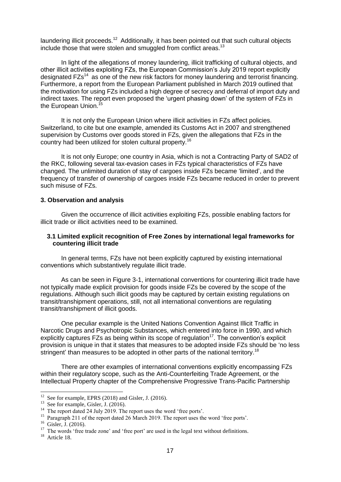laundering illicit proceeds.<sup>12</sup> Additionally, it has been pointed out that such cultural objects include those that were stolen and smuggled from conflict areas.<sup>13</sup>

In light of the allegations of money laundering, illicit trafficking of cultural objects, and other illicit activities exploiting FZs, the European Commission's July 2019 report explicitly designated  $FZs<sup>14</sup>$  as one of the new risk factors for money laundering and terrorist financing. Furthermore, a report from the European Parliament published in March 2019 outlined that the motivation for using FZs included a high degree of secrecy and deferral of import duty and indirect taxes. The report even proposed the 'urgent phasing down' of the system of FZs in the European Union.<sup>15</sup>

It is not only the European Union where illicit activities in FZs affect policies. Switzerland, to cite but one example, amended its Customs Act in 2007 and strengthened supervision by Customs over goods stored in FZs, given the allegations that FZs in the country had been utilized for stolen cultural property.<sup>16</sup>

It is not only Europe; one country in Asia, which is not a Contracting Party of SAD2 of the RKC, following several tax-evasion cases in FZs typical characteristics of FZs have changed. The unlimited duration of stay of cargoes inside FZs became 'limited', and the frequency of transfer of ownership of cargoes inside FZs became reduced in order to prevent such misuse of FZs.

#### **3. Observation and analysis**

Given the occurrence of illicit activities exploiting FZs, possible enabling factors for illicit trade or illicit activities need to be examined.

#### **3.1 Limited explicit recognition of Free Zones by international legal frameworks for countering illicit trade**

In general terms, FZs have not been explicitly captured by existing international conventions which substantively regulate illicit trade.

As can be seen in Figure 3-1, international conventions for countering illicit trade have not typically made explicit provision for goods inside FZs be covered by the scope of the regulations. Although such illicit goods may be captured by certain existing regulations on transit/transhipment operations, still, not all international conventions are regulating transit/transhipment of illicit goods.

One peculiar example is the United Nations Convention Against Illicit Traffic in Narcotic Drugs and Psychotropic Substances, which entered into force in 1990, and which explicitly captures FZs as being within its scope of regulation<sup>17</sup>. The convention's explicit provision is unique in that it states that measures to be adopted inside FZs should be 'no less stringent' than measures to be adopted in other parts of the national territory.<sup>18</sup>

There are other examples of international conventions explicitly encompassing FZs within their regulatory scope, such as the Anti-Counterfeiting Trade Agreement, or the Intellectual Property chapter of the Comprehensive Progressive Trans-Pacific Partnership

 $12$  See for example, EPRS (2018) and Gisler, J. (2016).

<sup>&</sup>lt;sup>13</sup> See for example, Gisler, J. (2016).

<sup>&</sup>lt;sup>14</sup> The report dated 24 July 2019. The report uses the word 'free ports'.

<sup>&</sup>lt;sup>15</sup> Paragraph 211 of the report dated 26 March 2019. The report uses the word 'free ports'.

<sup>&</sup>lt;sup>16</sup> Gisler, J. (2016).

 $17$  The words 'free trade zone' and 'free port' are used in the legal text without definitions.

 $18$  Article 18.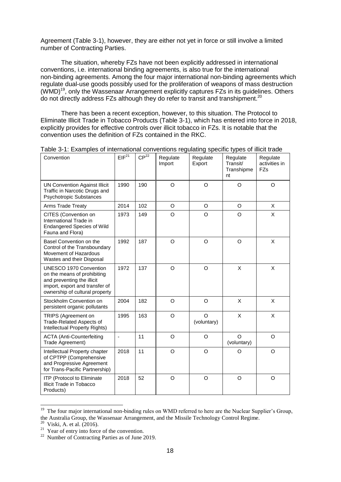Agreement (Table 3-1), however, they are either not yet in force or still involve a limited number of Contracting Parties.

The situation, whereby FZs have not been explicitly addressed in international conventions, i.e. international binding agreements, is also true for the international non-binding agreements. Among the four major international non-binding agreements which regulate dual-use goods possibly used for the proliferation of weapons of mass destruction  $(WMD)<sup>19</sup>$ , only the Wassenaar Arrangement explicitly captures FZs in its quidelines. Others do not directly address FZs although they do refer to transit and transhipment.<sup>20</sup>

There has been a recent exception, however, to this situation. The Protocol to Eliminate Illicit Trade in Tobacco Products (Table 3-1), which has entered into force in 2018, explicitly provides for effective controls over illicit tobacco in FZs. It is notable that the convention uses the definition of FZs contained in the RKC.

| Convention                                                                                                                                              | EIF <sup>21</sup> | CP <sup>22</sup> | Regulate<br>Import | Regulate<br>Export      | Regulate<br>Transit/<br>Transhipme<br>nt | Regulate<br>activities in<br>FZs |
|---------------------------------------------------------------------------------------------------------------------------------------------------------|-------------------|------------------|--------------------|-------------------------|------------------------------------------|----------------------------------|
| <b>UN Convention Against Illicit</b><br>Traffic in Narcotic Drugs and<br>Psychotropic Substances                                                        | 1990              | 190              | O                  | O                       | O                                        | O                                |
| Arms Trade Treaty                                                                                                                                       | 2014              | 102              | O                  | O                       | O                                        | X                                |
| CITES (Convention on<br>International Trade in<br><b>Endangered Species of Wild</b><br>Fauna and Flora)                                                 | 1973              | 149              | O                  | O                       | O                                        | X                                |
| Basel Convention on the<br>Control of the Transboundary<br>Movement of Hazardous<br>Wastes and their Disposal                                           | 1992              | 187              | $\circ$            | $\Omega$                | O                                        | X                                |
| UNESCO 1970 Convention<br>on the means of prohibiting<br>and preventing the illicit<br>import, export and transfer of<br>ownership of cultural property | 1972              | 137              | O                  | O                       | X                                        | X                                |
| Stockholm Convention on<br>persistent organic pollutants                                                                                                | 2004              | 182              | $\circ$            | O                       | X                                        | X                                |
| TRIPS (Agreement on<br>Trade-Related Aspects of<br>Intellectual Property Rights)                                                                        | 1995              | 163              | $\Omega$           | $\Omega$<br>(voluntary) | X                                        | X                                |
| <b>ACTA (Anti-Counterfeiting</b><br>Trade Agreement)                                                                                                    | $\blacksquare$    | 11               | $\Omega$           | O                       | $\Omega$<br>(voluntary)                  | $\circ$                          |
| Intellectual Property chapter<br>of CPTPP (Comprehensive<br>and Progressive Agreement<br>for Trans-Pacific Partnership)                                 | 2018              | 11               | O                  | O                       | O                                        | O                                |
| <b>ITP</b> (Protocol to Eliminate<br>Illicit Trade in Tobacco<br>Products)                                                                              | 2018              | 52               | O                  | O                       | O                                        | O                                |

Table 3-1: Examples of international conventions regulating specific types of illicit trade

 $\overline{a}$ 

<sup>&</sup>lt;sup>19</sup> The four major international non-binding rules on WMD referred to here are the Nuclear Supplier's Group, the Australia Group, the Wassenaar Arrangement, and the Missile Technology Control Regime.

<sup>20</sup> Viski, A. et al. (2016).

 $21$  Year of entry into force of the convention.

<sup>&</sup>lt;sup>22</sup> Number of Contracting Parties as of June 2019.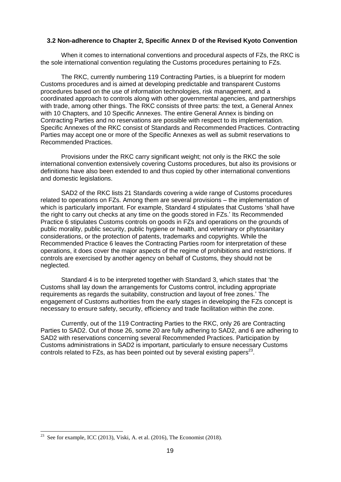#### **3.2 Non-adherence to Chapter 2, Specific Annex D of the Revised Kyoto Convention**

When it comes to international conventions and procedural aspects of FZs, the RKC is the sole international convention regulating the Customs procedures pertaining to FZs.

The RKC, currently numbering 119 Contracting Parties, is a blueprint for modern Customs procedures and is aimed at developing predictable and transparent Customs procedures based on the use of information technologies, risk management, and a coordinated approach to controls along with other governmental agencies, and partnerships with trade, among other things. The RKC consists of three parts: the text, a General Annex with 10 Chapters, and 10 Specific Annexes. The entire General Annex is binding on Contracting Parties and no reservations are possible with respect to its implementation. Specific Annexes of the RKC consist of Standards and Recommended Practices. Contracting Parties may accept one or more of the Specific Annexes as well as submit reservations to Recommended Practices.

Provisions under the RKC carry significant weight; not only is the RKC the sole international convention extensively covering Customs procedures, but also its provisions or definitions have also been extended to and thus copied by other international conventions and domestic legislations.

SAD2 of the RKC lists 21 Standards covering a wide range of Customs procedures related to operations on FZs. Among them are several provisions – the implementation of which is particularly important. For example, Standard 4 stipulates that Customs 'shall have the right to carry out checks at any time on the goods stored in FZs.' Its Recommended Practice 6 stipulates Customs controls on goods in FZs and operations on the grounds of public morality, public security, public hygiene or health, and veterinary or phytosanitary considerations, or the protection of patents, trademarks and copyrights. While the Recommended Practice 6 leaves the Contracting Parties room for interpretation of these operations, it does cover the major aspects of the regime of prohibitions and restrictions. If controls are exercised by another agency on behalf of Customs, they should not be neglected.

Standard 4 is to be interpreted together with Standard 3, which states that 'the Customs shall lay down the arrangements for Customs control, including appropriate requirements as regards the suitability, construction and layout of free zones.' The engagement of Customs authorities from the early stages in developing the FZs concept is necessary to ensure safety, security, efficiency and trade facilitation within the zone.

Currently, out of the 119 Contracting Parties to the RKC, only 26 are Contracting Parties to SAD2. Out of those 26, some 20 are fully adhering to SAD2, and 6 are adhering to SAD2 with reservations concerning several Recommended Practices. Participation by Customs administrations in SAD2 is important, particularly to ensure necessary Customs controls related to FZs, as has been pointed out by several existing papers<sup>23</sup>.

<sup>&</sup>lt;sup>23</sup> See for example, ICC (2013), Viski, A. et al. (2016), The Economist (2018).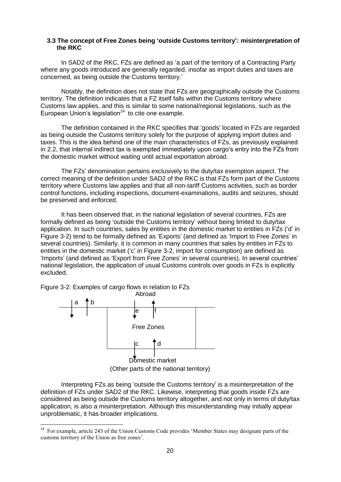#### **3.3 The concept of Free Zones being 'outside Customs territory': misinterpretation of the RKC**

In SAD2 of the RKC, FZs are defined as 'a part of the territory of a Contracting Party where any goods introduced are generally regarded, insofar as import duties and taxes are concerned, as being outside the Customs territory.'

Notably, the definition does not state that FZs are geographically outside the Customs territory. The definition indicates that a FZ itself falls within the Customs territory where Customs law applies, and this is similar to some national/regional legislations, such as the European Union's legislation<sup>24</sup> to cite one example.

The definition contained in the RKC specifies that 'goods' located in FZs are regarded as being outside the Customs territory solely for the purpose of applying import duties and taxes. This is the idea behind one of the main characteristics of FZs, as previously explained in 2.2, that internal indirect tax is exempted immediately upon cargo's entry into the FZs from the domestic market without waiting until actual exportation abroad.

The FZs' denomination pertains exclusively to the duty/tax exemption aspect. The correct meaning of the definition under SAD2 of the RKC is that FZs form part of the Customs territory where Customs law applies and that all non-tariff Customs activities, such as border control functions, including inspections, document-examinations, audits and seizures, should be preserved and enforced.

It has been observed that, in the national legislation of several countries, FZs are formally defined as being 'outside the Customs territory' without being limited to duty/tax application. In such countries, sales by entities in the domestic market to entities in FZs ('d' in Figure 3-2) tend to be formally defined as 'Exports' (and defined as 'Import to Free Zones' in several countries). Similarly, it is common in many countries that sales by entities in FZs to entities in the domestic market ('c' in Figure 3-2, import for consumption) are defined as 'Imports' (and defined as 'Export from Free Zones' in several countries). In several countries' national legislation, the application of usual Customs controls over goods in FZs is explicitly excluded.

Figure 3-2: Examples of cargo flows in relation to FZs

 $\overline{a}$ 



Interpreting FZs as being 'outside the Customs territory' is a misinterpretation of the definition of FZs under SAD2 of the RKC. Likewise, interpreting that goods inside FZs are considered as being outside the Customs territory altogether, and not only in terms of duty/tax application, is also a misinterpretation. Although this misunderstanding may initially appear unproblematic, it has broader implications.

<sup>&</sup>lt;sup>24</sup> For example, article 243 of the Union Customs Code provides 'Member States may designate parts of the customs territory of the Union as free zones'.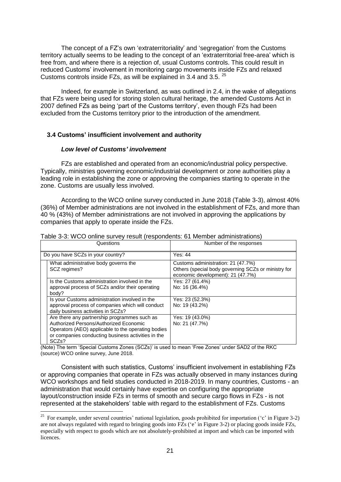The concept of a FZ's own 'extraterritoriality' and 'segregation' from the Customs territory actually seems to be leading to the concept of an 'extraterritorial free-area' which is free from, and where there is a rejection of, usual Customs controls. This could result in reduced Customs' involvement in monitoring cargo movements inside FZs and relaxed Customs controls inside FZs, as will be explained in 3.4 and 3.5. <sup>25</sup>

Indeed, for example in Switzerland, as was outlined in 2.4, in the wake of allegations that FZs were being used for storing stolen cultural heritage, the amended Customs Act in 2007 defined FZs as being 'part of the Customs territory', even though FZs had been excluded from the Customs territory prior to the introduction of the amendment.

# **3.4 Customs' insufficient involvement and authority**

# *Low level of Customs' involvement*

FZs are established and operated from an economic/industrial policy perspective. Typically, ministries governing economic/industrial development or zone authorities play a leading role in establishing the zone or approving the companies starting to operate in the zone. Customs are usually less involved.

According to the WCO online survey conducted in June 2018 (Table 3-3), almost 40% (36%) of Member administrations are not involved in the establishment of FZs, and more than 40 % (43%) of Member administrations are not involved in approving the applications by companies that apply to operate inside the FZs.

| Questions                                                                                                                                                                                                                | Number of the responses                                                                                                        |
|--------------------------------------------------------------------------------------------------------------------------------------------------------------------------------------------------------------------------|--------------------------------------------------------------------------------------------------------------------------------|
| Do you have SCZs in your country?                                                                                                                                                                                        | Yes: 44                                                                                                                        |
| What administrative body governs the<br>SCZ regimes?                                                                                                                                                                     | Customs administration: 21 (47.7%)<br>Others (special body governing SCZs or ministry for<br>economic development): 21 (47.7%) |
| Is the Customs administration involved in the<br>approval process of SCZs and/or their operating<br>body?                                                                                                                | Yes: 27 (61.4%)<br>No: 16 (36.4%)                                                                                              |
| Is your Customs administration involved in the<br>approval process of companies which will conduct<br>daily business activities in SCZs?                                                                                 | Yes: 23 (52.3%)<br>No: 19 (43.2%)                                                                                              |
| Are there any partnership programmes such as<br>Authorized Persons/Authorized Economic<br>Operators (AEO) applicable to the operating bodies<br>or companies conducting business activities in the<br>SCZ <sub>s</sub> ? | Yes: 19 (43.0%)<br>No: 21 (47.7%)                                                                                              |

#### Table 3-3: WCO online survey result (respondents: 61 Member administrations)

(Note) The term 'Special Customs Zones (SCZs)' is used to mean 'Free Zones' under SAD2 of the RKC (source) WCO online survey, June 2018.

Consistent with such statistics, Customs' insufficient involvement in establishing FZs or approving companies that operate in FZs was actually observed in many instances during WCO workshops and field studies conducted in 2018-2019. In many countries, Customs - an administration that would certainly have expertise on configuring the appropriate layout/construction inside FZs in terms of smooth and secure cargo flows in FZs - is not represented at the stakeholders' table with regard to the establishment of FZs. Customs

<sup>&</sup>lt;sup>25</sup> For example, under several countries' national legislation, goods prohibited for importation ( $\degree$ c' in Figure 3-2) are not always regulated with regard to bringing goods into FZs ('e' in Figure 3-2) or placing goods inside FZs, especially with respect to goods which are not absolutely-prohibited at import and which can be imported with licences.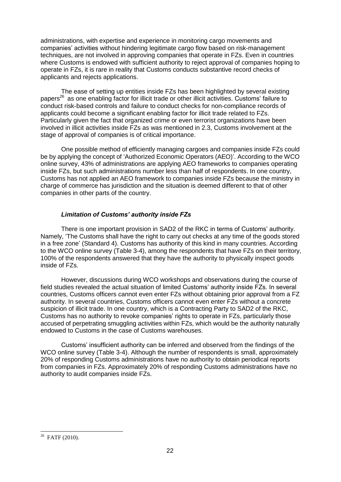administrations, with expertise and experience in monitoring cargo movements and companies' activities without hindering legitimate cargo flow based on risk-management techniques, are not involved in approving companies that operate in FZs. Even in countries where Customs is endowed with sufficient authority to reject approval of companies hoping to operate in FZs, it is rare in reality that Customs conducts substantive record checks of applicants and rejects applications.

The ease of setting up entities inside FZs has been highlighted by several existing papers<sup>26</sup> as one enabling factor for illicit trade or other illicit activities. Customs' failure to conduct risk-based controls and failure to conduct checks for non-compliance records of applicants could become a significant enabling factor for illicit trade related to FZs. Particularly given the fact that organized crime or even terrorist organizations have been involved in illicit activities inside FZs as was mentioned in 2.3, Customs involvement at the stage of approval of companies is of critical importance.

One possible method of efficiently managing cargoes and companies inside FZs could be by applying the concept of 'Authorized Economic Operators (AEO)'. According to the WCO online survey, 43% of administrations are applying AEO frameworks to companies operating inside FZs, but such administrations number less than half of respondents. In one country, Customs has not applied an AEO framework to companies inside FZs because the ministry in charge of commerce has jurisdiction and the situation is deemed different to that of other companies in other parts of the country.

# *Limitation of Customs' authority inside FZs*

There is one important provision in SAD2 of the RKC in terms of Customs' authority. Namely, 'The Customs shall have the right to carry out checks at any time of the goods stored in a free zone' (Standard 4). Customs has authority of this kind in many countries. According to the WCO online survey (Table 3-4), among the respondents that have FZs on their territory, 100% of the respondents answered that they have the authority to physically inspect goods inside of FZs.

However, discussions during WCO workshops and observations during the course of field studies revealed the actual situation of limited Customs' authority inside FZs. In several countries, Customs officers cannot even enter FZs without obtaining prior approval from a FZ authority. In several countries, Customs officers cannot even enter FZs without a concrete suspicion of illicit trade. In one country, which is a Contracting Party to SAD2 of the RKC, Customs has no authority to revoke companies' rights to operate in FZs, particularly those accused of perpetrating smuggling activities within FZs, which would be the authority naturally endowed to Customs in the case of Customs warehouses.

Customs' insufficient authority can be inferred and observed from the findings of the WCO online survey (Table 3-4). Although the number of respondents is small, approximately 20% of responding Customs administrations have no authority to obtain periodical reports from companies in FZs. Approximately 20% of responding Customs administrations have no authority to audit companies inside FZs.

  $26$  FATF (2010).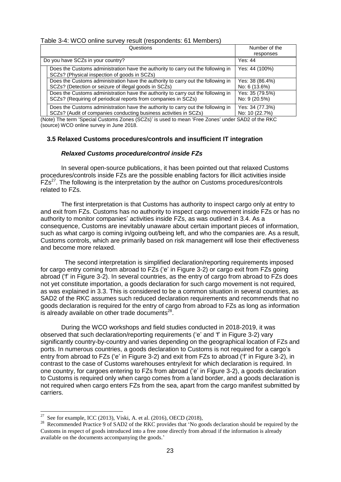#### Table 3-4: WCO online survey result (respondents: 61 Members)

| Questions                                                                                                                                             | Number of the<br>responses        |
|-------------------------------------------------------------------------------------------------------------------------------------------------------|-----------------------------------|
| Do you have SCZs in your country?                                                                                                                     | Yes: 44                           |
| Does the Customs administration have the authority to carry out the following in<br>SCZs? (Physical inspection of goods in SCZs)                      | Yes: 44 (100%)                    |
| Does the Customs administration have the authority to carry out the following in<br>SCZs? (Detection or seizure of illegal goods in SCZs)             | Yes: 38 (86.4%)<br>No: 6 (13.6%)  |
| Does the Customs administration have the authority to carry out the following in<br>SCZs? (Requiring of periodical reports from companies in SCZs)    | Yes: 35 (79.5%)<br>No: 9 (20.5%)  |
| Does the Customs administration have the authority to carry out the following in<br>SCZs? (Audit of companies conducting business activities in SCZs) | Yes: 34 (77.3%)<br>No: 10 (22.7%) |

(Note) The term 'Special Customs Zones (SCZs)' is used to mean 'Free Zones' under SAD2 of the RKC (source) WCO online survey in June 2018.

#### **3.5 Relaxed Customs procedures/controls and insufficient IT integration**

#### *Relaxed Customs procedure/control inside FZs*

In several open-source publications, it has been pointed out that relaxed Customs procedures/controls inside FZs are the possible enabling factors for illicit activities inside  $FZs<sup>27</sup>$ . The following is the interpretation by the author on Customs procedures/controls related to FZs.

The first interpretation is that Customs has authority to inspect cargo only at entry to and exit from FZs. Customs has no authority to inspect cargo movement inside FZs or has no authority to monitor companies' activities inside FZs, as was outlined in 3.4. As a consequence, Customs are inevitably unaware about certain important pieces of information, such as what cargo is coming in/going out/being left, and who the companies are. As a result, Customs controls, which are primarily based on risk management will lose their effectiveness and become more relaxed.

The second interpretation is simplified declaration/reporting requirements imposed for cargo entry coming from abroad to FZs ('e' in Figure 3-2) or cargo exit from FZs going abroad ('f' in Figure 3-2). In several countries, as the entry of cargo from abroad to FZs does not yet constitute importation, a goods declaration for such cargo movement is not required, as was explained in 3.3. This is considered to be a common situation in several countries, as SAD2 of the RKC assumes such reduced declaration requirements and recommends that no goods declaration is required for the entry of cargo from abroad to FZs as long as information is already available on other trade documents $^{28}$ .

During the WCO workshops and field studies conducted in 2018-2019, it was observed that such declaration/reporting requirements ('e' and 'f' in Figure 3-2) vary significantly country-by-country and varies depending on the geographical location of FZs and ports. In numerous countries, a goods declaration to Customs is not required for a cargo's entry from abroad to FZs ('e' in Figure 3-2) and exit from FZs to abroad ('f' in Figure 3-2), in contrast to the case of Customs warehouses entry/exit for which declaration is required. In one country, for cargoes entering to FZs from abroad ('e' in Figure 3-2), a goods declaration to Customs is required only when cargo comes from a land border, and a goods declaration is not required when cargo enters FZs from the sea, apart from the cargo manifest submitted by carriers.

<sup>&</sup>lt;sup>27</sup> See for example, ICC (2013), Viski, A. et al. (2016), OECD (2018),

<sup>&</sup>lt;sup>28</sup> Recommended Practice 9 of SAD2 of the RKC provides that 'No goods declaration should be required by the Customs in respect of goods introduced into a free zone directly from abroad if the information is already available on the documents accompanying the goods.'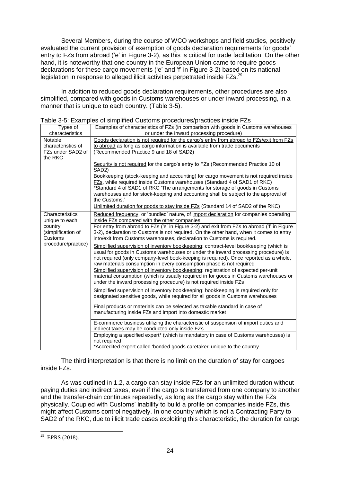Several Members, during the course of WCO workshops and field studies, positively evaluated the current provision of exemption of goods declaration requirements for goods' entry to FZs from abroad ('e' in Figure 3-2), as this is critical for trade facilitation. On the other hand, it is noteworthy that one country in the European Union came to require goods declarations for these cargo movements ('e' and 'f' in Figure 3-2) based on its national legislation in response to alleged illicit activities perpetrated inside FZs. $^{29}$ 

In addition to reduced goods declaration requirements, other procedures are also simplified, compared with goods in Customs warehouses or under inward processing, in a manner that is unique to each country. (Table 3-5).

| Types of                  | Examples of characteristics of FZs (in comparison with goods in Customs warehouses                                                          |
|---------------------------|---------------------------------------------------------------------------------------------------------------------------------------------|
| characteristics           | or under the inward processing procedure)                                                                                                   |
| Notable                   | Goods declaration is not required for the cargo's entry from abroad to FZs/exit from FZs                                                    |
| characteristics of        | to abroad as long as cargo information is available from trade documents                                                                    |
| FZs under SAD2 of         | (Recommended Practice 9 and 18 of SAD2)                                                                                                     |
| the RKC                   |                                                                                                                                             |
|                           | Security is not required for the cargo's entry to FZs (Recommended Practice 10 of<br>SAD <sub>2</sub> )                                     |
|                           | Bookkeeping (stock-keeping and accounting) for cargo movement is not required inside                                                        |
|                           | FZs, while required inside Customs warehouses (Standard 4 of SAD1 of RKC)                                                                   |
|                           | *Standard 4 of SAD1 of RKC 'The arrangements for storage of goods in Customs                                                                |
|                           | warehouses and for stock-keeping and accounting shall be subject to the approval of                                                         |
|                           | the Customs.'<br>Unlimited duration for goods to stay inside FZs (Standard 14 of SAD2 of the RKC)                                           |
|                           |                                                                                                                                             |
| Characteristics           | Reduced frequency, or 'bundled' nature, of import declaration for companies operating                                                       |
| unique to each<br>country | inside FZs compared with the other companies<br>For entry from abroad to FZs ('e' in Figure 3-2) and exit from FZs to abroad ('f' in Figure |
| (simplification of        | 3-2), declaration to Customs is not required. On the other hand, when it comes to entry                                                     |
| Customs                   | into/exit from Customs warehouses, declaration to Customs is required.                                                                      |
| procedure/practice)       | Simplified supervision of inventory bookkeeping: contract-level bookkeeping (which is                                                       |
|                           | usual for goods in Customs warehouses or under the inward processing procedure) is                                                          |
|                           | not required (only company-level book-keeping is required). Once reported as a whole,                                                       |
|                           | raw materials consumption in every consumption phase is not required                                                                        |
|                           | Simplified supervision of inventory bookkeeping: registration of expected per-unit                                                          |
|                           | material consumption (which is usually required in for goods in Customs warehouses or                                                       |
|                           | under the inward processing procedure) is not required inside FZs                                                                           |
|                           | Simplified supervision of inventory bookkeeping: bookkeeping is required only for                                                           |
|                           | designated sensitive goods, while required for all goods in Customs warehouses                                                              |
|                           | Final products or materials can be selected as taxable standard in case of                                                                  |
|                           | manufacturing inside FZs and import into domestic market                                                                                    |
|                           | E-commerce business utilizing the characteristic of suspension of import duties and                                                         |
|                           | indirect taxes may be conducted only inside FZs                                                                                             |
|                           | Employing a specified expert* (which is mandatory in case of Customs warehouses) is                                                         |
|                           | not required<br>*Accredited expert called 'bonded goods caretaker' unique to the country                                                    |
|                           |                                                                                                                                             |

The third interpretation is that there is no limit on the duration of stay for cargoes inside FZs.

As was outlined in 1.2, a cargo can stay inside FZs for an unlimited duration without paying duties and indirect taxes, even if the cargo is transferred from one company to another and the transfer-chain continues repeatedly, as long as the cargo stay within the FZs physically. Coupled with Customs' inability to build a profile on companies inside FZs, this might affect Customs control negatively. In one country which is not a Contracting Party to SAD2 of the RKC, due to illicit trade cases exploiting this characteristic, the duration for cargo

  $29$  EPRS (2018).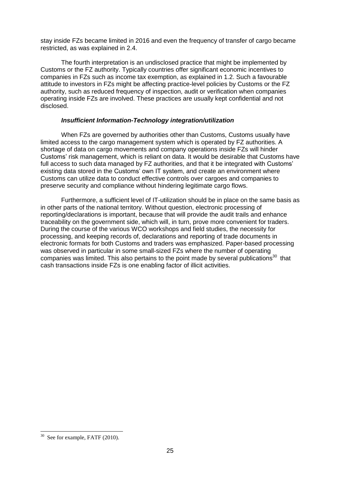stay inside FZs became limited in 2016 and even the frequency of transfer of cargo became restricted, as was explained in 2.4.

The fourth interpretation is an undisclosed practice that might be implemented by Customs or the FZ authority. Typically countries offer significant economic incentives to companies in FZs such as income tax exemption, as explained in 1.2. Such a favourable attitude to investors in FZs might be affecting practice-level policies by Customs or the FZ authority, such as reduced frequency of inspection, audit or verification when companies operating inside FZs are involved. These practices are usually kept confidential and not disclosed.

# *Insufficient Information-Technology integration/utilization*

When FZs are governed by authorities other than Customs, Customs usually have limited access to the cargo management system which is operated by FZ authorities. A shortage of data on cargo movements and company operations inside FZs will hinder Customs' risk management, which is reliant on data. It would be desirable that Customs have full access to such data managed by FZ authorities, and that it be integrated with Customs' existing data stored in the Customs' own IT system, and create an environment where Customs can utilize data to conduct effective controls over cargoes and companies to preserve security and compliance without hindering legitimate cargo flows.

Furthermore, a sufficient level of IT-utilization should be in place on the same basis as in other parts of the national territory. Without question, electronic processing of reporting/declarations is important, because that will provide the audit trails and enhance traceability on the government side, which will, in turn, prove more convenient for traders. During the course of the various WCO workshops and field studies, the necessity for processing, and keeping records of, declarations and reporting of trade documents in electronic formats for both Customs and traders was emphasized. Paper-based processing was observed in particular in some small-sized FZs where the number of operating companies was limited. This also pertains to the point made by several publications<sup>30</sup> that cash transactions inside FZs is one enabling factor of illicit activities.

  $30$  See for example, FATF (2010).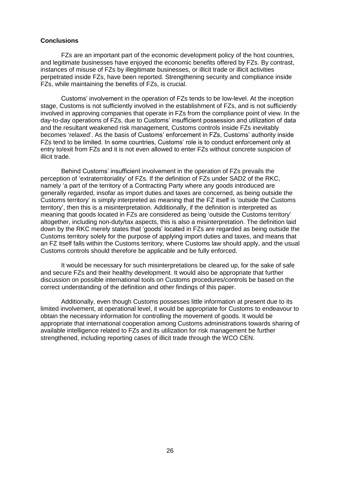## **Conclusions**

FZs are an important part of the economic development policy of the host countries, and legitimate businesses have enjoyed the economic benefits offered by FZs. By contrast, instances of misuse of FZs by illegitimate businesses, or illicit trade or illicit activities perpetrated inside FZs, have been reported. Strengthening security and compliance inside FZs, while maintaining the benefits of FZs, is crucial.

Customs' involvement in the operation of FZs tends to be low-level. At the inception stage, Customs is not sufficiently involved in the establishment of FZs, and is not sufficiently involved in approving companies that operate in FZs from the compliance point of view. In the day-to-day operations of FZs, due to Customs' insufficient possession and utilization of data and the resultant weakened risk management, Customs controls inside FZs inevitably becomes 'relaxed'. As the basis of Customs' enforcement in FZs, Customs' authority inside FZs tend to be limited. In some countries, Customs' role is to conduct enforcement only at entry to/exit from FZs and it is not even allowed to enter FZs without concrete suspicion of illicit trade.

Behind Customs' insufficient involvement in the operation of FZs prevails the perception of 'extraterritoriality' of FZs. If the definition of FZs under SAD2 of the RKC, namely 'a part of the territory of a Contracting Party where any goods introduced are generally regarded, insofar as import duties and taxes are concerned, as being outside the Customs territory' is simply interpreted as meaning that the FZ itself is 'outside the Customs territory', then this is a misinterpretation. Additionally, if the definition is interpreted as meaning that goods located in FZs are considered as being 'outside the Customs territory' altogether, including non-duty/tax aspects, this is also a misinterpretation. The definition laid down by the RKC merely states that 'goods' located in FZs are regarded as being outside the Customs territory solely for the purpose of applying import duties and taxes, and means that an FZ itself falls within the Customs territory, where Customs law should apply, and the usual Customs controls should therefore be applicable and be fully enforced.

It would be necessary for such misinterpretations be cleared up, for the sake of safe and secure FZs and their healthy development. It would also be appropriate that further discussion on possible international tools on Customs procedures/controls be based on the correct understanding of the definition and other findings of this paper.

Additionally, even though Customs possesses little information at present due to its limited involvement, at operational level, it would be appropriate for Customs to endeavour to obtain the necessary information for controlling the movement of goods. It would be appropriate that international cooperation among Customs administrations towards sharing of available intelligence related to FZs and its utilization for risk management be further strengthened, including reporting cases of illicit trade through the WCO CEN.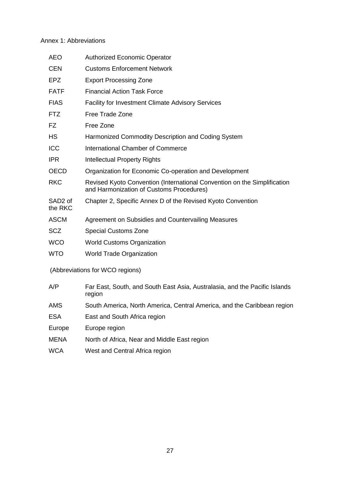# Annex 1: Abbreviations

| <b>AEO</b>                     | <b>Authorized Economic Operator</b>                                                                                  |
|--------------------------------|----------------------------------------------------------------------------------------------------------------------|
| <b>CEN</b>                     | <b>Customs Enforcement Network</b>                                                                                   |
| <b>EPZ</b>                     | <b>Export Processing Zone</b>                                                                                        |
| <b>FATF</b>                    | <b>Financial Action Task Force</b>                                                                                   |
| <b>FIAS</b>                    | <b>Facility for Investment Climate Advisory Services</b>                                                             |
| <b>FTZ</b>                     | Free Trade Zone                                                                                                      |
| FZ                             | Free Zone                                                                                                            |
| <b>HS</b>                      | Harmonized Commodity Description and Coding System                                                                   |
| <b>ICC</b>                     | International Chamber of Commerce                                                                                    |
| <b>IPR</b>                     | <b>Intellectual Property Rights</b>                                                                                  |
| <b>OECD</b>                    | Organization for Economic Co-operation and Development                                                               |
| <b>RKC</b>                     | Revised Kyoto Convention (International Convention on the Simplification<br>and Harmonization of Customs Procedures) |
| SAD <sub>2</sub> of<br>the RKC | Chapter 2, Specific Annex D of the Revised Kyoto Convention                                                          |
| <b>ASCM</b>                    | Agreement on Subsidies and Countervailing Measures                                                                   |
| <b>SCZ</b>                     | <b>Special Customs Zone</b>                                                                                          |
| <b>WCO</b>                     | <b>World Customs Organization</b>                                                                                    |
| <b>WTO</b>                     | <b>World Trade Organization</b>                                                                                      |
|                                | (Abbreviations for WCO regions)                                                                                      |
| A/P                            | Far East, South, and South East Asia, Australasia, and the Pacific Islands<br>region                                 |
| <b>AMS</b>                     | South America, North America, Central America, and the Caribbean region                                              |

- ESA East and South Africa region
- Europe Europe region
- MENA North of Africa, Near and Middle East region
- WCA West and Central Africa region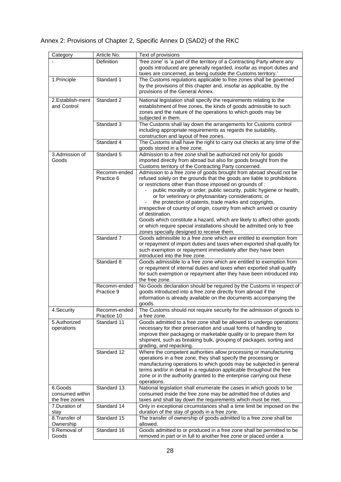# Annex 2: Provisions of Chapter 2, Specific Annex D (SAD2) of the RKC

| Category                                     | Article No.                 | Text of provisions                                                                                                                                                                                                                                                                                                                                                                                                                                                                                                                                                                                                                                                                                     |
|----------------------------------------------|-----------------------------|--------------------------------------------------------------------------------------------------------------------------------------------------------------------------------------------------------------------------------------------------------------------------------------------------------------------------------------------------------------------------------------------------------------------------------------------------------------------------------------------------------------------------------------------------------------------------------------------------------------------------------------------------------------------------------------------------------|
|                                              | Definition                  | 'free zone' is 'a part of the territory of a Contracting Party where any<br>goods introduced are generally regarded, insofar as import duties and<br>taxes are concerned, as being outside the Customs territory.'                                                                                                                                                                                                                                                                                                                                                                                                                                                                                     |
| 1.Principle                                  | Standard 1                  | The Customs regulations applicable to free zones shall be governed<br>by the provisions of this chapter and, insofar as applicable, by the<br>provisions of the General Annex.                                                                                                                                                                                                                                                                                                                                                                                                                                                                                                                         |
| 2.Establish-ment<br>and Control              | Standard 2                  | National legislation shall specify the requirements relating to the<br>establishment of free zones, the kinds of goods admissible to such<br>zones and the nature of the operations to which goods may be<br>subjected in them.                                                                                                                                                                                                                                                                                                                                                                                                                                                                        |
|                                              | Standard 3                  | The Customs shall lay down the arrangements for Customs control<br>including appropriate requirements as regards the suitability,<br>construction and layout of free zones.                                                                                                                                                                                                                                                                                                                                                                                                                                                                                                                            |
|                                              | Standard 4                  | The Customs shall have the right to carry out checks at any time of the<br>goods stored in a free zone.                                                                                                                                                                                                                                                                                                                                                                                                                                                                                                                                                                                                |
| 3.Admission of<br>Goods                      | Standard 5                  | Admission to a free zone shall be authorized not only for goods<br>imported directly from abroad but also for goods brought from the<br>Customs territory of the Contracting Party concerned.                                                                                                                                                                                                                                                                                                                                                                                                                                                                                                          |
|                                              | Recomm-ended<br>Practice 6  | Admission to a free zone of goods brought from abroad should not be<br>refused solely on the grounds that the goods are liable to prohibitions<br>or restrictions other than those imposed on grounds of :<br>public morality or order, public security, public hygiene or health,<br>or for veterinary or phytosanitary considerations; or<br>the protection of patents, trade marks and copyrights,<br>irrespective of country of origin, country from which arrived or country<br>of destination.<br>Goods which constitute a hazard, which are likely to affect other goods<br>or which require special installations should be admitted only to free<br>zones specially designed to receive them. |
|                                              | Standard 7                  | Goods admissible to a free zone which are entitled to exemption from<br>or repayment of import duties and taxes when exported shall qualify for<br>such exemption or repayment immediately after they have been<br>introduced into the free zone.                                                                                                                                                                                                                                                                                                                                                                                                                                                      |
|                                              | Standard 8                  | Goods admissible to a free zone which are entitled to exemption from<br>or repayment of internal duties and taxes when exported shall qualify<br>for such exemption or repayment after they have been introduced into<br>the free zone.                                                                                                                                                                                                                                                                                                                                                                                                                                                                |
|                                              | Recomm-ended<br>Practice 9  | No Goods declaration should be required by the Customs in respect of<br>goods introduced into a free zone directly from abroad if the<br>information is already available on the documents accompanying the<br>goods.                                                                                                                                                                                                                                                                                                                                                                                                                                                                                  |
| 4.Security                                   | Recomm-ended<br>Practice 10 | The Customs should not require security for the admission of goods to<br>a free zone.                                                                                                                                                                                                                                                                                                                                                                                                                                                                                                                                                                                                                  |
| 5.Authorized<br>operations                   | Standard 11                 | Goods admitted to a free zone shall be allowed to undergo operations<br>necessary for their preservation and usual forms of handling to<br>improve their packaging or marketable quality or to prepare them for<br>shipment, such as breaking bulk, grouping of packages, sorting and<br>grading, and repacking.                                                                                                                                                                                                                                                                                                                                                                                       |
|                                              | Standard 12                 | Where the competent authorities allow processing or manufacturing<br>operations in a free zone, they shall specify the processing or<br>manufacturing operations to which goods may be subjected in general<br>terms and/or in detail in a regulation applicable throughout the free<br>zone or in the authority granted to the enterprise carrying out these<br>operations.                                                                                                                                                                                                                                                                                                                           |
| 6.Goods<br>consumed within<br>the free zones | Standard 13                 | National legislation shall enumerate the cases in which goods to be<br>consumed inside the free zone may be admitted free of duties and<br>taxes and shall lay down the requirements which must be met.                                                                                                                                                                                                                                                                                                                                                                                                                                                                                                |
| 7.Duration of<br>stay                        | Standard 14                 | Only in exceptional circumstances shall a time limit be imposed on the<br>duration of the stay of goods in a free zone.                                                                                                                                                                                                                                                                                                                                                                                                                                                                                                                                                                                |
| 8. Transfer of<br>Ownership                  | Standard 15                 | The transfer of ownership of goods admitted to a free zone shall be<br>allowed.                                                                                                                                                                                                                                                                                                                                                                                                                                                                                                                                                                                                                        |
| 9.Removal of<br>Goods                        | Standard 16                 | Goods admitted to or produced in a free zone shall be permitted to be<br>removed in part or in full to another free zone or placed under a                                                                                                                                                                                                                                                                                                                                                                                                                                                                                                                                                             |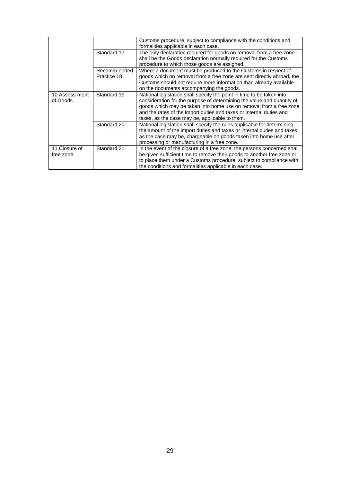|                            |                             | Customs procedure, subject to compliance with the conditions and<br>formalities applicable in each case.                                                                                                                                                                                                                                       |
|----------------------------|-----------------------------|------------------------------------------------------------------------------------------------------------------------------------------------------------------------------------------------------------------------------------------------------------------------------------------------------------------------------------------------|
|                            | Standard 17                 | The only declaration required for goods on removal from a free zone<br>shall be the Goods declaration normally required for the Customs<br>procedure to which those goods are assigned.                                                                                                                                                        |
|                            | Recomm-ended<br>Practice 18 | Where a document must be produced to the Customs in respect of<br>goods which on removal from a free zone are sent directly abroad, the<br>Customs should not require more information than already available<br>on the documents accompanying the goods.                                                                                      |
| 10.Assess-ment<br>of Goods | Standard 19                 | National legislation shall specify the point in time to be taken into<br>consideration for the purpose of determining the value and quantity of<br>goods which may be taken into home use on removal from a free zone<br>and the rates of the import duties and taxes or internal duties and<br>taxes, as the case may be, applicable to them. |
|                            | Standard 20                 | National legislation shall specify the rules applicable for determining<br>the amount of the import duties and taxes or internal duties and taxes,<br>as the case may be, chargeable on goods taken into home use after<br>processing or manufacturing in a free zone.                                                                         |
| 11.Closure of<br>free zone | Standard 21                 | In the event of the closure of a free zone, the persons concerned shall<br>be given sufficient time to remove their goods to another free zone or<br>to place them under a Customs procedure, subject to compliance with<br>the conditions and formalities applicable in each case.                                                            |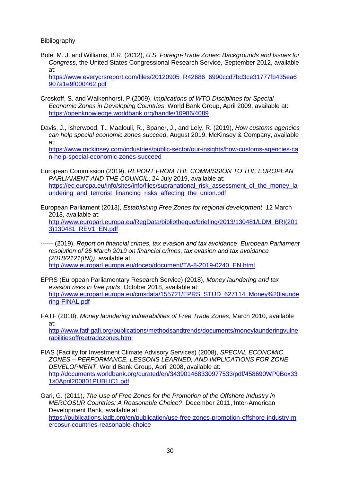Bibliography

- Bole, M. J. and Williams, B.R. (2012), *U.S. Foreign-Trade Zones: Backgrounds and Issues for Congress*, the United States Congressional Research Service, September 2012, available at: [https://www.everycrsreport.com/files/20120905\\_R42686\\_6990ccd7bd3ce31777fb435ea6](https://www.everycrsreport.com/files/20120905_R42686_6990ccd7bd3ce31777fb435ea6907a1e9f000462.pdf) [907a1e9f000462.pdf](https://www.everycrsreport.com/files/20120905_R42686_6990ccd7bd3ce31777fb435ea6907a1e9f000462.pdf)
- Creskoff, S. and Walkenhorst, P.(2009), *Implications of WTO Disciplines for Special Economic Zones in Developing Countries*, World Bank Group, April 2009, available at: <https://openknowledge.worldbank.org/handle/10986/4089>
- Davis, J., Isherwood, T., Maalouli, R., Spaner, J., and Lely, R. (2019), *How customs agencies can help special economic zones succeed*, August 2019, McKinsey & Company, available at:

[https://www.mckinsey.com/industries/public-sector/our-insights/how-customs-agencies-ca](https://www.mckinsey.com/industries/public-sector/our-insights/how-customs-agencies-can-help-special-economic-zones-succeed) [n-help-special-economic-zones-succeed](https://www.mckinsey.com/industries/public-sector/our-insights/how-customs-agencies-can-help-special-economic-zones-succeed)

European Commission (2019), *REPORT FROM THE COMMISSION TO THE EUROPEAN PARLIAMENT AND THE COUNCIL*, 24 July 2019, available at: [https://ec.europa.eu/info/sites/info/files/supranational\\_risk\\_assessment\\_of\\_the\\_money\\_la](https://ec.europa.eu/info/sites/info/files/supranational_risk_assessment_of_the_money_laundering_and_terrorist_financing_risks_affecting_the_union.pdf) undering and terrorist financing risks affecting the union.pdf

European Parliament (2013), *Establishing Free Zones for regional development*, 12 March 2013, available at: [http://www.europarl.europa.eu/RegData/bibliotheque/briefing/2013/130481/LDM\\_BRI\(201](http://www.europarl.europa.eu/RegData/bibliotheque/briefing/2013/130481/LDM_BRI(2013)130481_REV1_EN.pdf) [3\)130481\\_REV1\\_EN.pdf](http://www.europarl.europa.eu/RegData/bibliotheque/briefing/2013/130481/LDM_BRI(2013)130481_REV1_EN.pdf)

- ------ (2019), *Report on financial crimes, tax evasion and tax avoidanc*e: *European Parliament resolution of 26 March 2019 on financial crimes, tax evasion and tax avoidance (2018/2121(INI))*, available at: [http://www.europarl.europa.eu/doceo/document/TA-8-2019-0240\\_EN.html](http://www.europarl.europa.eu/doceo/document/TA-8-2019-0240_EN.html)
- EPRS (European Parliamentary Research Service) (2018), *Money laundering and tax evasion risks in free ports*, October 2018, available at: [http://www.europarl.europa.eu/cmsdata/155721/EPRS\\_STUD\\_627114\\_Money%20launde](http://www.europarl.europa.eu/cmsdata/155721/EPRS_STUD_627114_Money%20laundering-FINAL.pdf) [ring-FINAL.pdf](http://www.europarl.europa.eu/cmsdata/155721/EPRS_STUD_627114_Money%20laundering-FINAL.pdf)
- FATF (2010), *Money laundering vulnerabilities of Free Trade Zones*, March 2010, available at:

[http://www.fatf-gafi.org/publications/methodsandtrends/documents/moneylaunderingvulne](http://www.fatf-gafi.org/publications/methodsandtrends/documents/moneylaunderingvulnerabilitiesoffreetradezones.html) [rabilitiesoffreetradezones.html](http://www.fatf-gafi.org/publications/methodsandtrends/documents/moneylaunderingvulnerabilitiesoffreetradezones.html)

- FIAS (Facility for Investment Climate Advisory Services) (2008), *SPECIAL ECONOMIC ZONES – PERFORMANCE, LESSONS LEARNED, AND IMPLICATIONS FOR ZONE DEVELOPMENT*, World Bank Group, April 2008, available at: [http://documents.worldbank.org/curated/en/343901468330977533/pdf/458690WP0Box33](http://documents.worldbank.org/curated/en/343901468330977533/pdf/458690WP0Box331s0April200801PUBLIC1.pdf) [1s0April200801PUBLIC1.pdf](http://documents.worldbank.org/curated/en/343901468330977533/pdf/458690WP0Box331s0April200801PUBLIC1.pdf)
- Gari, G. (2011), *The Use of Free Zones for the Promotion of the Offshore Industry in MERCOSUR Countries: A Reasonable Choice?*, December 2011, Inter-American Development Bank, available at: [https://publications.iadb.org/en/publication/use-free-zones-promotion-offshore-industry-m](https://publications.iadb.org/en/publication/use-free-zones-promotion-offshore-industry-mercosur-countries-reasonable-choice) [ercosur-countries-reasonable-choice](https://publications.iadb.org/en/publication/use-free-zones-promotion-offshore-industry-mercosur-countries-reasonable-choice)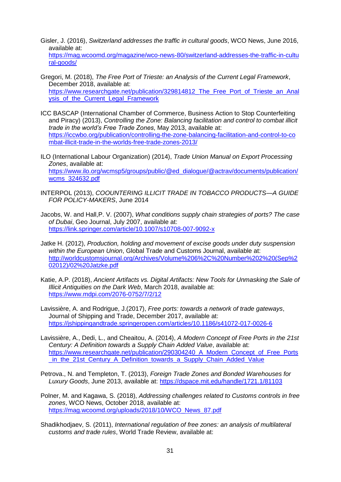Gisler, J. (2016), *Switzerland addresses the traffic in cultural goods*, WCO News, June 2016, available at:

[https://mag.wcoomd.org/magazine/wco-news-80/switzerland-addresses-the-traffic-in-cultu](https://mag.wcoomd.org/magazine/wco-news-80/switzerland-addresses-the-traffic-in-cultural-goods/) [ral-goods/](https://mag.wcoomd.org/magazine/wco-news-80/switzerland-addresses-the-traffic-in-cultural-goods/)

- Gregori, M. (2018), *The Free Port of Trieste: an Analysis of the Current Legal Framework*, December 2018, available at: https://www.researchgate.net/publication/329814812 The Free Port of Trieste an Anal ysis of the Current Legal Framework
- ICC BASCAP (International Chamber of Commerce, Business Action to Stop Counterfeiting and Piracy) (2013), *Controlling the Zone: Balancing facilitation and control to combat illicit trade in the world's Free Trade Zones*, May 2013, available at: [https://iccwbo.org/publication/controlling-the-zone-balancing-facilitation-and-control-to-co](https://iccwbo.org/publication/controlling-the-zone-balancing-facilitation-and-control-to-combat-illicit-trade-in-the-worlds-free-trade-zones-2013/) [mbat-illicit-trade-in-the-worlds-free-trade-zones-2013/](https://iccwbo.org/publication/controlling-the-zone-balancing-facilitation-and-control-to-combat-illicit-trade-in-the-worlds-free-trade-zones-2013/)
- ILO (International Labour Organization) (2014), *Trade Union Manual on Export Processing Zones*, available at: [https://www.ilo.org/wcmsp5/groups/public/@ed\\_dialogue/@actrav/documents/publication/](https://www.ilo.org/wcmsp5/groups/public/@ed_dialogue/@actrav/documents/publication/wcms_324632.pdf) [wcms\\_324632.pdf](https://www.ilo.org/wcmsp5/groups/public/@ed_dialogue/@actrav/documents/publication/wcms_324632.pdf)
- INTERPOL (2013), *COOUNTERING ILLICIT TRADE IN TOBACCO PRODUCTS—A GUIDE FOR POLICY-MAKERS*, June 2014
- Jacobs, W. and Hall,P. V. (2007), *What conditions supply chain strategies of ports? The case of Dubai*, Geo Journal, July 2007, available at: <https://link.springer.com/article/10.1007/s10708-007-9092-x>
- Jatke H. (2012), *Production, holding and movement of excise goods under duty suspension within the European Union*, Global Trade and Customs Journal, available at: [http://worldcustomsjournal.org/Archives/Volume%206%2C%20Number%202%20\(Sep%2](http://worldcustomsjournal.org/Archives/Volume%206%2C%20Number%202%20(Sep%202012)/02%20Jatzke.pdf) [02012\)/02%20Jatzke.pdf](http://worldcustomsjournal.org/Archives/Volume%206%2C%20Number%202%20(Sep%202012)/02%20Jatzke.pdf)
- Katie, A.P. (2018), *Ancient Artifacts vs. Digital Artifacts: New Tools for Unmasking the Sale of Illicit Antiquities on the Dark Web*, March 2018, available at: <https://www.mdpi.com/2076-0752/7/2/12>
- Lavissière, A. and Rodrigue, J.(2017), *Free ports: towards a network of trade gateways*, Journal of Shipping and Trade, December 2017, available at: <https://jshippingandtrade.springeropen.com/articles/10.1186/s41072-017-0026-6>
- Lavissière, A., Dedi, L., and Cheaitou, A. (2014), *A Modern Concept of Free Ports in the 21st Century: A Definition towards a Supply Chain Added Value*, available at: [https://www.researchgate.net/publication/290304240\\_A\\_Modern\\_Concept\\_of\\_Free\\_Ports](https://www.researchgate.net/publication/290304240_A_Modern_Concept_of_Free_Ports_in_the_21st_Century_A_Definition_towards_a_Supply_Chain_Added_Value) [\\_in\\_the\\_21st\\_Century\\_A\\_Definition\\_towards\\_a\\_Supply\\_Chain\\_Added\\_Value](https://www.researchgate.net/publication/290304240_A_Modern_Concept_of_Free_Ports_in_the_21st_Century_A_Definition_towards_a_Supply_Chain_Added_Value)
- Petrova., N. and Templeton, T. (2013), *Foreign Trade Zones and Bonded Warehouses for Luxury Goods*, June 2013, available at:<https://dspace.mit.edu/handle/1721.1/81103>
- Polner, M. and Kagawa, S. (2018), *Addressing challenges related to Customs controls in free zones*, WCO News, October 2018, available at: [https://mag.wcoomd.org/uploads/2018/10/WCO\\_News\\_87.pdf](https://mag.wcoomd.org/uploads/2018/10/WCO_News_87.pdf?utm_source=General&utm_campaign=7ad7722527-EMAIL_CAMPAIGN_2018_10_18_01_52&utm_medium=email&utm_term=0_ce35aec070-7ad7722527-33694533)
- Shadikhodjaev, S. (2011), *International regulation of free zones: an analysis of multilateral customs and trade rules*, World Trade Review, available at: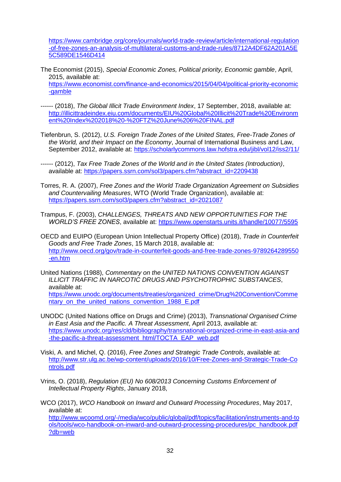[https://www.cambridge.org/core/journals/world-trade-review/article/international-regulation](https://www.cambridge.org/core/journals/world-trade-review/article/international-regulation-of-free-zones-an-analysis-of-multilateral-customs-and-trade-rules/8712A4DF62A201A5E5C589DE1546D414) [-of-free-zones-an-analysis-of-multilateral-customs-and-trade-rules/8712A4DF62A201A5E](https://www.cambridge.org/core/journals/world-trade-review/article/international-regulation-of-free-zones-an-analysis-of-multilateral-customs-and-trade-rules/8712A4DF62A201A5E5C589DE1546D414) [5C589DE1546D414](https://www.cambridge.org/core/journals/world-trade-review/article/international-regulation-of-free-zones-an-analysis-of-multilateral-customs-and-trade-rules/8712A4DF62A201A5E5C589DE1546D414)

- The Economist (2015), *Special Economic Zones, Political priority, Economic gamble*, April, 2015, available at: [https://www.economist.com/finance-and-economics/2015/04/04/political-priority-economic](https://www.economist.com/finance-and-economics/2015/04/04/political-priority-economic-gamble) [-gamble](https://www.economist.com/finance-and-economics/2015/04/04/political-priority-economic-gamble)
- ------ (2018), *The Global Illicit Trade Environment Index*, 17 September, 2018, available at: [http://illicittradeindex.eiu.com/documents/EIU%20Global%20Illicit%20Trade%20Environm](http://illicittradeindex.eiu.com/documents/EIU%20Global%20Illicit%20Trade%20Environment%20Index%202018%20-%20FTZ%20June%206%20FINAL.pdf) [ent%20Index%202018%20-%20FTZ%20June%206%20FINAL.pdf](http://illicittradeindex.eiu.com/documents/EIU%20Global%20Illicit%20Trade%20Environment%20Index%202018%20-%20FTZ%20June%206%20FINAL.pdf)
- Tiefenbrun, S. (2012), *U.S. Foreign Trade Zones of the United States, Free-Trade Zones of the World, and their Impact on the Economy*, Journal of International Business and Law, September 2012, available at:<https://scholarlycommons.law.hofstra.edu/jibl/vol12/iss2/11/>
- ------ (2012), *Tax Free Trade Zones of the World and in the United States (Introduction)*, available at: [https://papers.ssrn.com/sol3/papers.cfm?abstract\\_id=2209438](https://papers.ssrn.com/sol3/papers.cfm?abstract_id=2209438)
- Torres, R. A. (2007), *Free Zones and the World Trade Organization Agreement on Subsidies and Countervailing Measures*, WTO (World Trade Organization), available at: [https://papers.ssrn.com/sol3/papers.cfm?abstract\\_id=2021087](https://papers.ssrn.com/sol3/papers.cfm?abstract_id=2021087)
- Trampus, F. (2003), *CHALLENGES, THREATS AND NEW OPPORTUNITIES FOR THE WORLD'S FREE ZONES*, available at: https://www.openstarts.units.it/handle/10077/5595
- OECD and EUIPO (European Union Intellectual Property Office) (2018), *Trade in Counterfeit Goods and Free Trade Zones*, 15 March 2018, available at: [http://www.oecd.org/gov/trade-in-counterfeit-goods-and-free-trade-zones-9789264289550](http://www.oecd.org/gov/trade-in-counterfeit-goods-and-free-trade-zones-9789264289550-en.htm) [-en.htm](http://www.oecd.org/gov/trade-in-counterfeit-goods-and-free-trade-zones-9789264289550-en.htm)
- United Nations (1988), *Commentary on the UNITED NATIONS CONVENTION AGAINST ILLICIT TRAFFIC IN NARCOTIC DRUGS AND PSYCHOTROPHIC SUBSTANCES*, available at: [https://www.unodc.org/documents/treaties/organized\\_crime/Drug%20Convention/Comme](https://www.unodc.org/documents/treaties/organized_crime/Drug%20Convention/Commentary_on_the_united_nations_convention_1988_E.pdf) ntary on the united nations convention 1988 E.pdf
- UNODC (United Nations office on Drugs and Crime) (2013), *Transnational Organised Crime in East Asia and the Pacific. A Threat Assessment*, April 2013, available at: [https://www.unodc.org/res/cld/bibliography/transnational-organized-crime-in-east-asia-and](https://www.unodc.org/res/cld/bibliography/transnational-organized-crime-in-east-asia-and-the-pacific-a-threat-assessment_html/TOCTA_EAP_web.pdf) [-the-pacific-a-threat-assessment\\_html/TOCTA\\_EAP\\_web.pdf](https://www.unodc.org/res/cld/bibliography/transnational-organized-crime-in-east-asia-and-the-pacific-a-threat-assessment_html/TOCTA_EAP_web.pdf)
- Viski, A. and Michel, Q. (2016), *Free Zones and Strategic Trade Controls*, available at: [http://www.str.ulg.ac.be/wp-content/uploads/2016/10/Free-Zones-and-Strategic-Trade-Co](http://www.str.ulg.ac.be/wp-content/uploads/2016/10/Free-Zones-and-Strategic-Trade-Controls.pdf) [ntrols.pdf](http://www.str.ulg.ac.be/wp-content/uploads/2016/10/Free-Zones-and-Strategic-Trade-Controls.pdf)
- Vrins, O. (2018), *Regulation (EU) No 608/2013 Concerning Customs Enforcement of Intellectual Property Rights*, January 2018,
- WCO (2017), *WCO Handbook on Inward and Outward Processing Procedures*, May 2017, available at: [http://www.wcoomd.org/-/media/wco/public/global/pdf/topics/facilitation/instruments-and-to](http://www.wcoomd.org/-/media/wco/public/global/pdf/topics/facilitation/instruments-and-tools/tools/wco-handbook-on-inward-and-outward-processing-procedures/pc_handbook.pdf?db=web) [ols/tools/wco-handbook-on-inward-and-outward-processing-procedures/pc\\_handbook.pdf](http://www.wcoomd.org/-/media/wco/public/global/pdf/topics/facilitation/instruments-and-tools/tools/wco-handbook-on-inward-and-outward-processing-procedures/pc_handbook.pdf?db=web) [?db=web](http://www.wcoomd.org/-/media/wco/public/global/pdf/topics/facilitation/instruments-and-tools/tools/wco-handbook-on-inward-and-outward-processing-procedures/pc_handbook.pdf?db=web)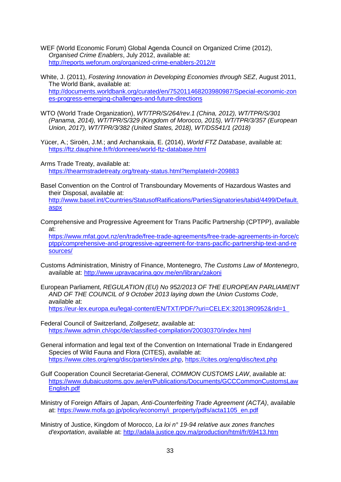- WEF (World Economic Forum) Global Agenda Council on Organized Crime (2012), *Organised Crime Enablers*, July 2012, available at: [http://reports.weforum.org/organized-crime-enablers-2012/#](http://reports.weforum.org/organized-crime-enablers-2012/)
- White, J. (2011), *Fostering Innovation in Developing Economies through SEZ*, August 2011, The World Bank, available at: [http://documents.worldbank.org/curated/en/752011468203980987/Special-economic-zon](http://documents.worldbank.org/curated/en/752011468203980987/Special-economic-zones-progress-emerging-challenges-and-future-directions) [es-progress-emerging-challenges-and-future-directions](http://documents.worldbank.org/curated/en/752011468203980987/Special-economic-zones-progress-emerging-challenges-and-future-directions)
- WTO (World Trade Organization), *WT/TPR/S/264/rev.1 (China, 2012), WT/TPR/S/301 (Panama, 2014), WT/TPR/S/329 (Kingdom of Morocco, 2015), WT/TPR/3/357 (European Union, 2017), WT/TPR/3/382 (United States, 2018), WT/DS541/1 (2018)*
- Yücer, A.; Siroën, J.M.; and Archanskaia, E. (2014), *World FTZ Database*, available at: <https://ftz.dauphine.fr/fr/donnees/world-ftz-database.html>
- Arms Trade Treaty, available at: <https://thearmstradetreaty.org/treaty-status.html?templateId=209883>
- Basel Convention on the Control of Transboundary Movements of Hazardous Wastes and their Disposal, available at: [http://www.basel.int/Countries/StatusofRatifications/PartiesSignatories/tabid/4499/Default.](http://www.basel.int/Countries/StatusofRatifications/PartiesSignatories/tabid/4499/Default.aspx) [aspx](http://www.basel.int/Countries/StatusofRatifications/PartiesSignatories/tabid/4499/Default.aspx)
- Comprehensive and Progressive Agreement for Trans Pacific Partnership (CPTPP), available at: [https://www.mfat.govt.nz/en/trade/free-trade-agreements/free-trade-agreements-in-force/c](https://www.mfat.govt.nz/en/trade/free-trade-agreements/free-trade-agreements-in-force/cptpp/comprehensive-and-progressive-agreement-for-trans-pacific-partnership-text-and-resources/)

[ptpp/comprehensive-and-progressive-agreement-for-trans-pacific-partnership-text-and-re](https://www.mfat.govt.nz/en/trade/free-trade-agreements/free-trade-agreements-in-force/cptpp/comprehensive-and-progressive-agreement-for-trans-pacific-partnership-text-and-resources/) [sources/](https://www.mfat.govt.nz/en/trade/free-trade-agreements/free-trade-agreements-in-force/cptpp/comprehensive-and-progressive-agreement-for-trans-pacific-partnership-text-and-resources/)

- Customs Administration, Ministry of Finance, Montenegro, *The Customs Law of Montenegro*, available at:<http://www.upravacarina.gov.me/en/library/zakoni>
- European Parliament, *REGULATION (EU) No 952/2013 OF THE EUROPEAN PARLIAMENT AND OF THE COUNCIL of 9 October 2013 laying down the Union Customs Code*, available at: <https://eur-lex.europa.eu/legal-content/EN/TXT/PDF/?uri=CELEX:32013R0952&rid=1>
- Federal Council of Switzerland, *Zollgesetz*, available at: <https://www.admin.ch/opc/de/classified-compilation/20030370/index.html>
- General information and legal text of the Convention on International Trade in Endangered Species of Wild Fauna and Flora (CITES), available at: [https://www.cites.org/eng/disc/parties/index.php,](https://www.cites.org/eng/disc/parties/index.php)<https://cites.org/eng/disc/text.php>
- Gulf Cooperation Council Secretariat-General, *COMMON CUSTOMS LAW*, available at: [https://www.dubaicustoms.gov.ae/en/Publications/Documents/GCCCommonCustomsLaw](https://www.dubaicustoms.gov.ae/en/Publications/Documents/GCCCommonCustomsLawEnglish.pdf) [English.pdf](https://www.dubaicustoms.gov.ae/en/Publications/Documents/GCCCommonCustomsLawEnglish.pdf)

Ministry of Foreign Affairs of Japan, *Anti-Counterfeiting Trade Agreement (ACTA)*, available at: [https://www.mofa.go.jp/policy/economy/i\\_property/pdfs/acta1105\\_en.pdf](https://www.mofa.go.jp/policy/economy/i_property/pdfs/acta1105_en.pdf)

Ministry of Justice, Kingdom of Morocco, *La loi n° 19-94 relative aux zones franches d'exportation*, available at: <http://adala.justice.gov.ma/production/html/fr/69413.htm>